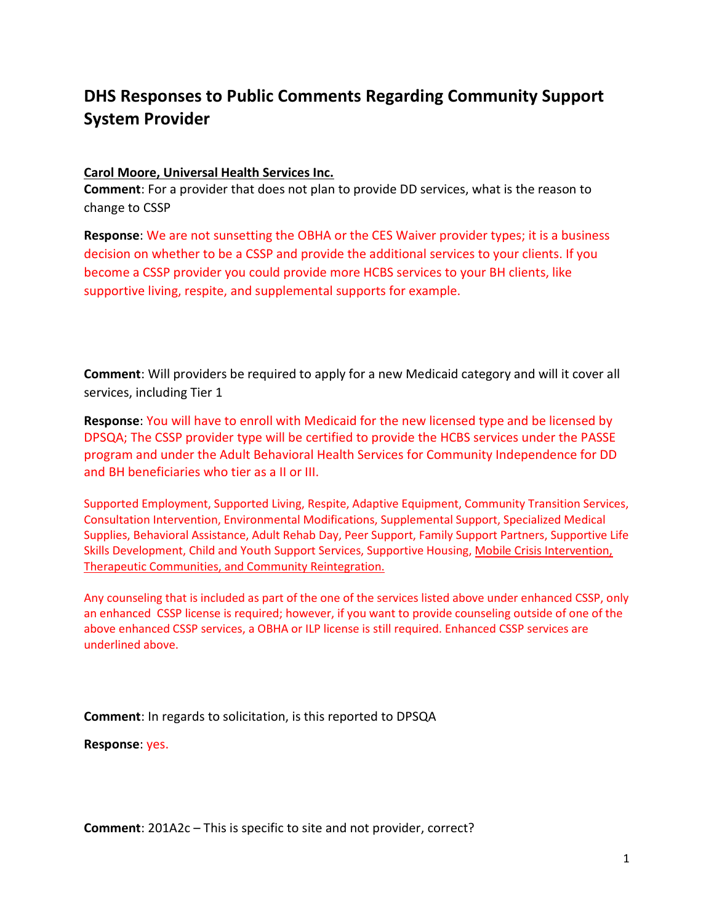# DHS Responses to Public Comments Regarding Community Support System Provider

# Carol Moore, Universal Health Services Inc.

Comment: For a provider that does not plan to provide DD services, what is the reason to change to CSSP

Response: We are not sunsetting the OBHA or the CES Waiver provider types; it is a business decision on whether to be a CSSP and provide the additional services to your clients. If you become a CSSP provider you could provide more HCBS services to your BH clients, like supportive living, respite, and supplemental supports for example.

Comment: Will providers be required to apply for a new Medicaid category and will it cover all services, including Tier 1

Response: You will have to enroll with Medicaid for the new licensed type and be licensed by DPSQA; The CSSP provider type will be certified to provide the HCBS services under the PASSE program and under the Adult Behavioral Health Services for Community Independence for DD and BH beneficiaries who tier as a II or III.

Supported Employment, Supported Living, Respite, Adaptive Equipment, Community Transition Services, Consultation Intervention, Environmental Modifications, Supplemental Support, Specialized Medical Supplies, Behavioral Assistance, Adult Rehab Day, Peer Support, Family Support Partners, Supportive Life Skills Development, Child and Youth Support Services, Supportive Housing, Mobile Crisis Intervention, Therapeutic Communities, and Community Reintegration.

Any counseling that is included as part of the one of the services listed above under enhanced CSSP, only an enhanced CSSP license is required; however, if you want to provide counseling outside of one of the above enhanced CSSP services, a OBHA or ILP license is still required. Enhanced CSSP services are underlined above.

Comment: In regards to solicitation, is this reported to DPSQA

Response: yes.

Comment: 201A2c – This is specific to site and not provider, correct?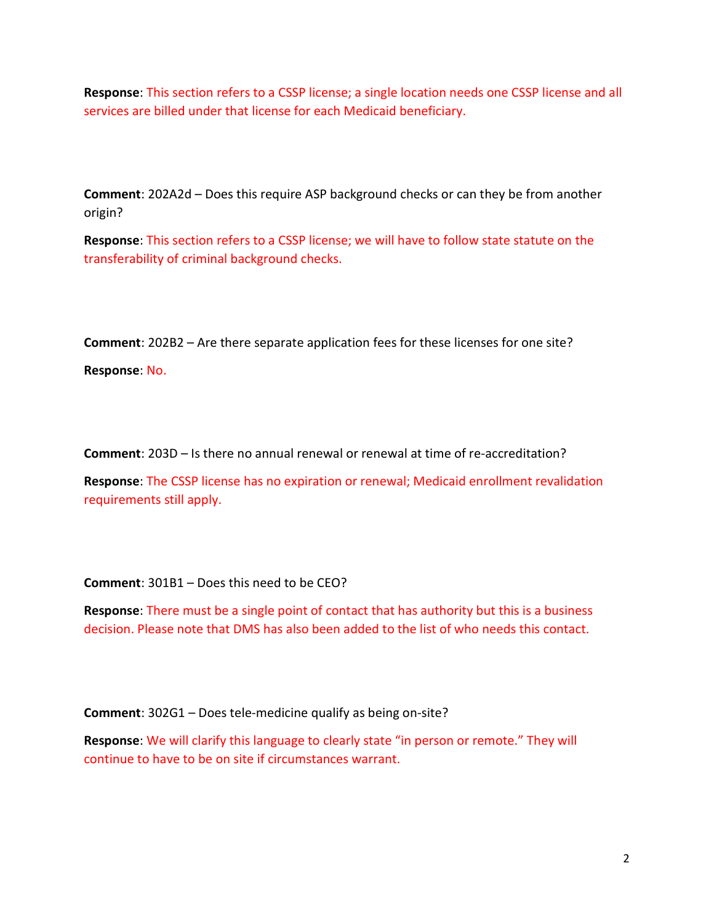Response: This section refers to a CSSP license; a single location needs one CSSP license and all services are billed under that license for each Medicaid beneficiary.

Comment: 202A2d – Does this require ASP background checks or can they be from another origin?

Response: This section refers to a CSSP license; we will have to follow state statute on the transferability of criminal background checks.

Comment: 202B2 – Are there separate application fees for these licenses for one site?

Response: No.

Comment: 203D – Is there no annual renewal or renewal at time of re-accreditation?

Response: The CSSP license has no expiration or renewal; Medicaid enrollment revalidation requirements still apply.

Comment: 301B1 – Does this need to be CEO?

Response: There must be a single point of contact that has authority but this is a business decision. Please note that DMS has also been added to the list of who needs this contact.

Comment: 302G1 – Does tele-medicine qualify as being on-site?

Response: We will clarify this language to clearly state "in person or remote." They will continue to have to be on site if circumstances warrant.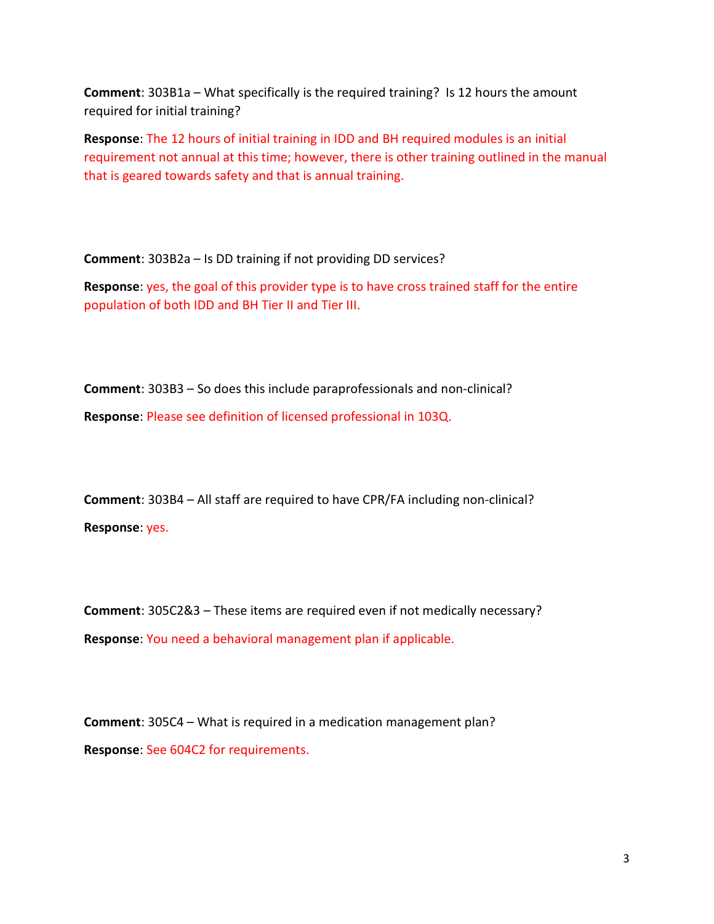Comment: 303B1a – What specifically is the required training? Is 12 hours the amount required for initial training?

Response: The 12 hours of initial training in IDD and BH required modules is an initial requirement not annual at this time; however, there is other training outlined in the manual that is geared towards safety and that is annual training.

Comment: 303B2a – Is DD training if not providing DD services?

Response: yes, the goal of this provider type is to have cross trained staff for the entire population of both IDD and BH Tier II and Tier III.

Comment: 303B3 – So does this include paraprofessionals and non-clinical? Response: Please see definition of licensed professional in 103Q.

Comment: 303B4 – All staff are required to have CPR/FA including non-clinical? Response: yes.

Comment: 305C2&3 – These items are required even if not medically necessary? Response: You need a behavioral management plan if applicable.

Comment: 305C4 – What is required in a medication management plan? Response: See 604C2 for requirements.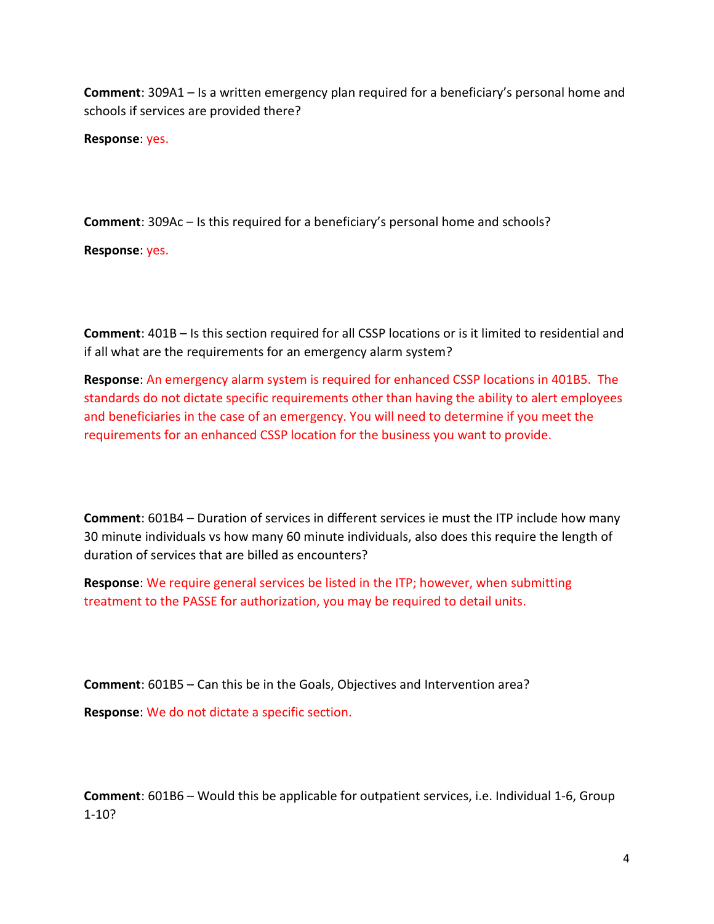Comment: 309A1 – Is a written emergency plan required for a beneficiary's personal home and schools if services are provided there?

Response: yes.

Comment: 309Ac – Is this required for a beneficiary's personal home and schools?

Response: yes.

Comment: 401B – Is this section required for all CSSP locations or is it limited to residential and if all what are the requirements for an emergency alarm system?

Response: An emergency alarm system is required for enhanced CSSP locations in 401B5. The standards do not dictate specific requirements other than having the ability to alert employees and beneficiaries in the case of an emergency. You will need to determine if you meet the requirements for an enhanced CSSP location for the business you want to provide.

Comment: 601B4 – Duration of services in different services ie must the ITP include how many 30 minute individuals vs how many 60 minute individuals, also does this require the length of duration of services that are billed as encounters?

Response: We require general services be listed in the ITP; however, when submitting treatment to the PASSE for authorization, you may be required to detail units.

Comment: 601B5 – Can this be in the Goals, Objectives and Intervention area? Response: We do not dictate a specific section.

Comment: 601B6 – Would this be applicable for outpatient services, i.e. Individual 1-6, Group 1-10?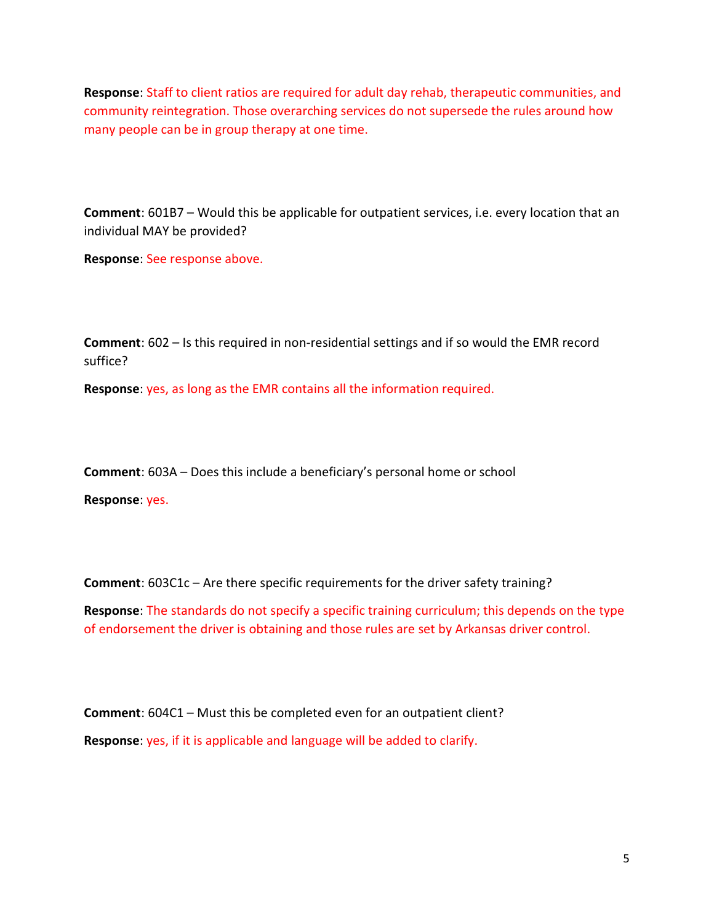Response: Staff to client ratios are required for adult day rehab, therapeutic communities, and community reintegration. Those overarching services do not supersede the rules around how many people can be in group therapy at one time.

Comment: 601B7 – Would this be applicable for outpatient services, i.e. every location that an individual MAY be provided?

Response: See response above.

Comment: 602 – Is this required in non-residential settings and if so would the EMR record suffice?

Response: yes, as long as the EMR contains all the information required.

Comment: 603A – Does this include a beneficiary's personal home or school

Response: yes.

Comment: 603C1c – Are there specific requirements for the driver safety training?

Response: The standards do not specify a specific training curriculum; this depends on the type of endorsement the driver is obtaining and those rules are set by Arkansas driver control.

Comment: 604C1 – Must this be completed even for an outpatient client? Response: yes, if it is applicable and language will be added to clarify.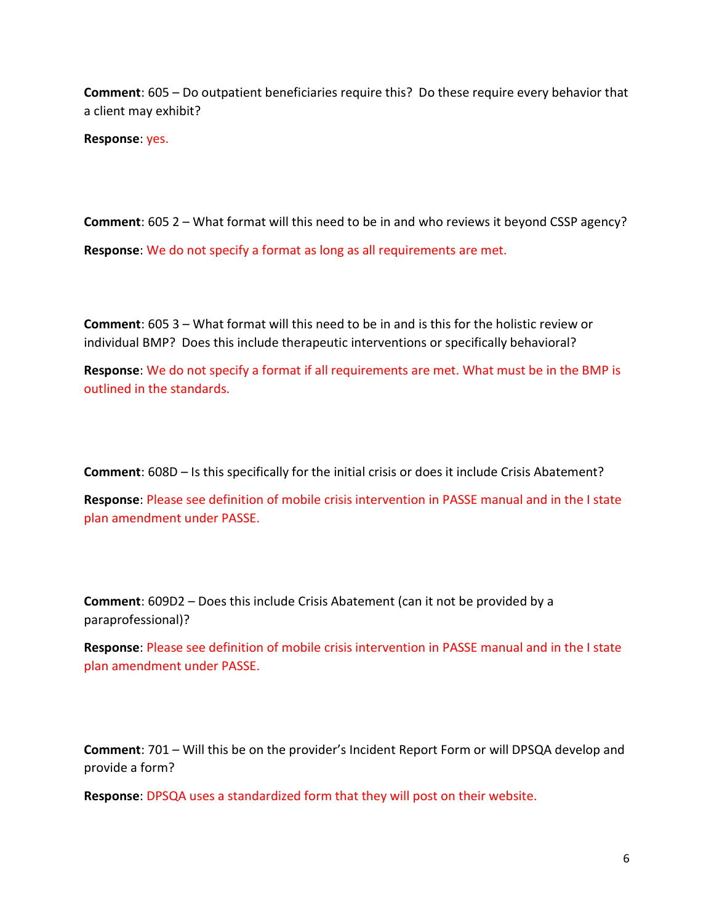Comment: 605 – Do outpatient beneficiaries require this? Do these require every behavior that a client may exhibit?

Response: yes.

Comment: 605 2 – What format will this need to be in and who reviews it beyond CSSP agency? Response: We do not specify a format as long as all requirements are met.

Comment: 605 3 – What format will this need to be in and is this for the holistic review or individual BMP? Does this include therapeutic interventions or specifically behavioral?

Response: We do not specify a format if all requirements are met. What must be in the BMP is outlined in the standards.

Comment: 608D – Is this specifically for the initial crisis or does it include Crisis Abatement?

Response: Please see definition of mobile crisis intervention in PASSE manual and in the I state plan amendment under PASSE.

Comment: 609D2 – Does this include Crisis Abatement (can it not be provided by a paraprofessional)?

Response: Please see definition of mobile crisis intervention in PASSE manual and in the I state plan amendment under PASSE.

Comment: 701 – Will this be on the provider's Incident Report Form or will DPSQA develop and provide a form?

Response: DPSQA uses a standardized form that they will post on their website.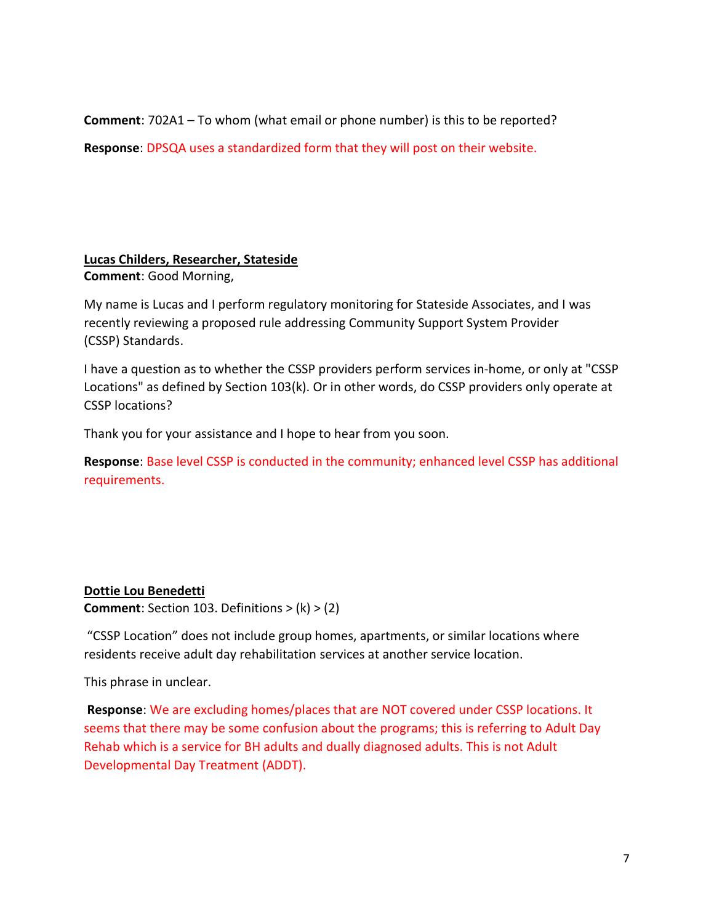Comment: 702A1 – To whom (what email or phone number) is this to be reported?

Response: DPSQA uses a standardized form that they will post on their website.

### Lucas Childers, Researcher, Stateside Comment: Good Morning,

My name is Lucas and I perform regulatory monitoring for Stateside Associates, and I was recently reviewing a proposed rule addressing Community Support System Provider (CSSP) Standards.

I have a question as to whether the CSSP providers perform services in-home, or only at "CSSP Locations" as defined by Section 103(k). Or in other words, do CSSP providers only operate at CSSP locations?

Thank you for your assistance and I hope to hear from you soon.

Response: Base level CSSP is conducted in the community; enhanced level CSSP has additional requirements.

# Dottie Lou Benedetti

**Comment:** Section 103. Definitions  $> (k)$   $> (2)$ 

 "CSSP Location" does not include group homes, apartments, or similar locations where residents receive adult day rehabilitation services at another service location.

This phrase in unclear.

Response: We are excluding homes/places that are NOT covered under CSSP locations. It seems that there may be some confusion about the programs; this is referring to Adult Day Rehab which is a service for BH adults and dually diagnosed adults. This is not Adult Developmental Day Treatment (ADDT).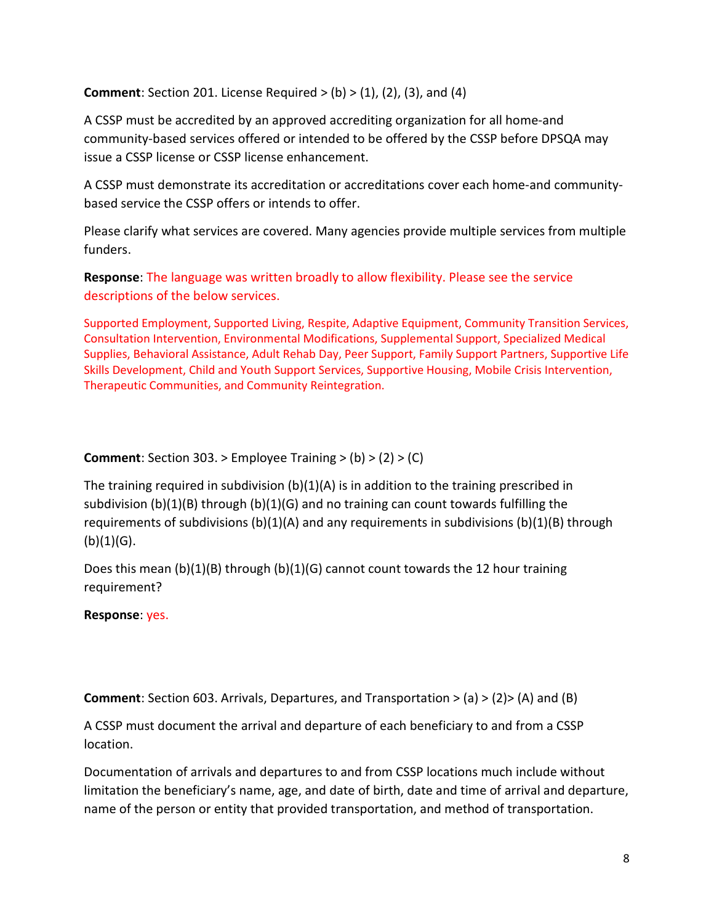**Comment:** Section 201. License Required  $>$  (b)  $>$  (1), (2), (3), and (4)

A CSSP must be accredited by an approved accrediting organization for all home-and community-based services offered or intended to be offered by the CSSP before DPSQA may issue a CSSP license or CSSP license enhancement.

A CSSP must demonstrate its accreditation or accreditations cover each home-and communitybased service the CSSP offers or intends to offer.

Please clarify what services are covered. Many agencies provide multiple services from multiple funders.

Response: The language was written broadly to allow flexibility. Please see the service descriptions of the below services.

Supported Employment, Supported Living, Respite, Adaptive Equipment, Community Transition Services, Consultation Intervention, Environmental Modifications, Supplemental Support, Specialized Medical Supplies, Behavioral Assistance, Adult Rehab Day, Peer Support, Family Support Partners, Supportive Life Skills Development, Child and Youth Support Services, Supportive Housing, Mobile Crisis Intervention, Therapeutic Communities, and Community Reintegration.

# **Comment:** Section 303. > Employee Training  $>(b)$   $>(2)$   $>(C)$

The training required in subdivision  $(b)(1)(A)$  is in addition to the training prescribed in subdivision (b)(1)(B) through (b)(1)(G) and no training can count towards fulfilling the requirements of subdivisions (b)(1)(A) and any requirements in subdivisions (b)(1)(B) through  $(b)(1)(G)$ .

Does this mean  $(b)(1)(B)$  through  $(b)(1)(G)$  cannot count towards the 12 hour training requirement?

#### Response: yes.

**Comment:** Section 603. Arrivals, Departures, and Transportation  $>(a)$   $>(2)$   $>(A)$  and (B)

A CSSP must document the arrival and departure of each beneficiary to and from a CSSP location.

Documentation of arrivals and departures to and from CSSP locations much include without limitation the beneficiary's name, age, and date of birth, date and time of arrival and departure, name of the person or entity that provided transportation, and method of transportation.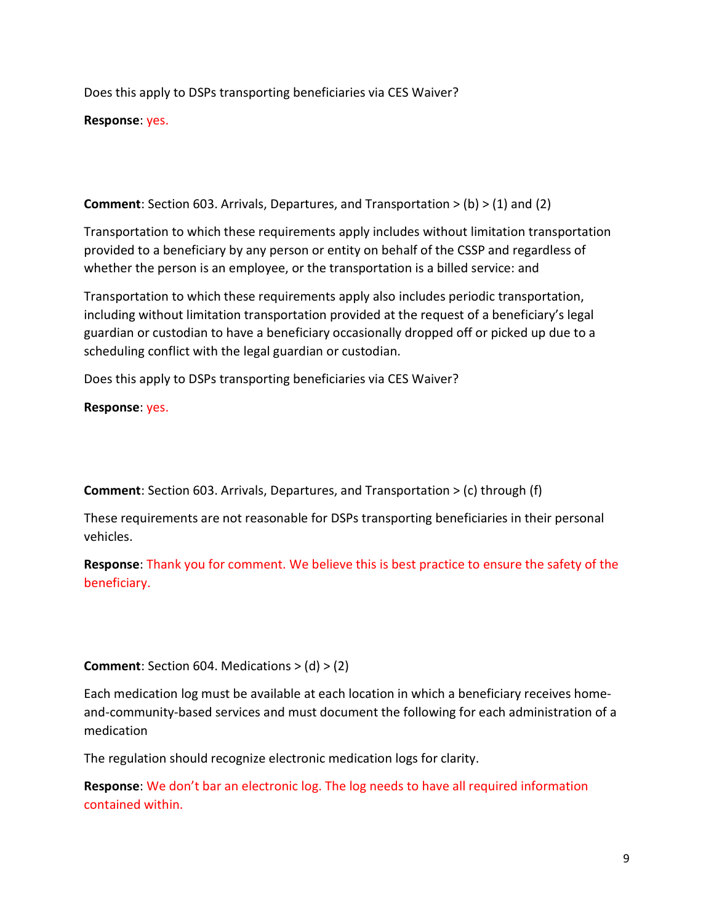Does this apply to DSPs transporting beneficiaries via CES Waiver?

Response: yes.

**Comment:** Section 603. Arrivals, Departures, and Transportation  $>$  (b)  $>$  (1) and (2)

Transportation to which these requirements apply includes without limitation transportation provided to a beneficiary by any person or entity on behalf of the CSSP and regardless of whether the person is an employee, or the transportation is a billed service: and

Transportation to which these requirements apply also includes periodic transportation, including without limitation transportation provided at the request of a beneficiary's legal guardian or custodian to have a beneficiary occasionally dropped off or picked up due to a scheduling conflict with the legal guardian or custodian.

Does this apply to DSPs transporting beneficiaries via CES Waiver?

Response: yes.

Comment: Section 603. Arrivals, Departures, and Transportation > (c) through (f)

These requirements are not reasonable for DSPs transporting beneficiaries in their personal vehicles.

Response: Thank you for comment. We believe this is best practice to ensure the safety of the beneficiary.

**Comment:** Section 604. Medications  $>$  (d)  $>$  (2)

Each medication log must be available at each location in which a beneficiary receives homeand-community-based services and must document the following for each administration of a medication

The regulation should recognize electronic medication logs for clarity.

Response: We don't bar an electronic log. The log needs to have all required information contained within.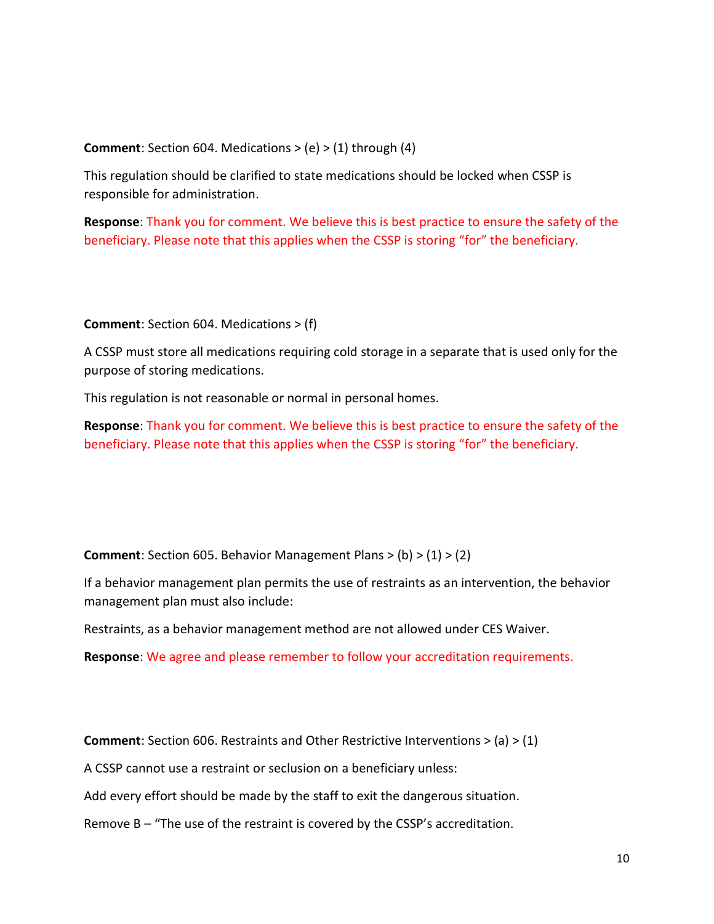**Comment:** Section 604. Medications  $> (e)$   $> (1)$  through (4)

This regulation should be clarified to state medications should be locked when CSSP is responsible for administration.

Response: Thank you for comment. We believe this is best practice to ensure the safety of the beneficiary. Please note that this applies when the CSSP is storing "for" the beneficiary.

Comment: Section 604. Medications > (f)

A CSSP must store all medications requiring cold storage in a separate that is used only for the purpose of storing medications.

This regulation is not reasonable or normal in personal homes.

Response: Thank you for comment. We believe this is best practice to ensure the safety of the beneficiary. Please note that this applies when the CSSP is storing "for" the beneficiary.

**Comment:** Section 605. Behavior Management Plans  $>$  (b)  $>$  (1)  $>$  (2)

If a behavior management plan permits the use of restraints as an intervention, the behavior management plan must also include:

Restraints, as a behavior management method are not allowed under CES Waiver.

Response: We agree and please remember to follow your accreditation requirements.

**Comment:** Section 606. Restraints and Other Restrictive Interventions  $> (a) > (1)$ 

A CSSP cannot use a restraint or seclusion on a beneficiary unless:

Add every effort should be made by the staff to exit the dangerous situation.

Remove B – "The use of the restraint is covered by the CSSP's accreditation.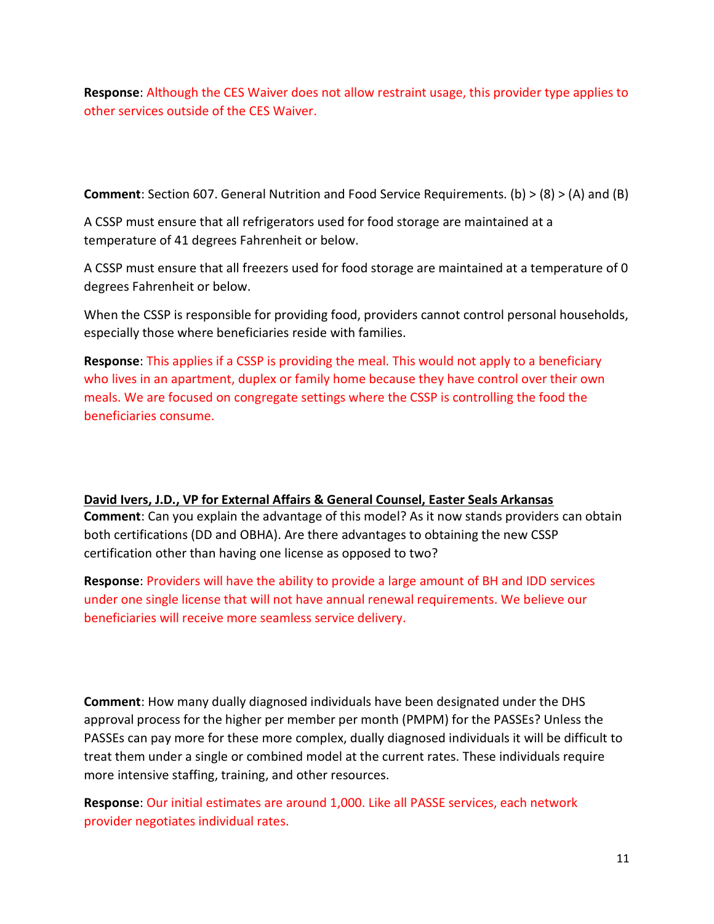Response: Although the CES Waiver does not allow restraint usage, this provider type applies to other services outside of the CES Waiver.

Comment: Section 607. General Nutrition and Food Service Requirements. (b) > (8) > (A) and (B)

A CSSP must ensure that all refrigerators used for food storage are maintained at a temperature of 41 degrees Fahrenheit or below.

A CSSP must ensure that all freezers used for food storage are maintained at a temperature of 0 degrees Fahrenheit or below.

When the CSSP is responsible for providing food, providers cannot control personal households, especially those where beneficiaries reside with families.

Response: This applies if a CSSP is providing the meal. This would not apply to a beneficiary who lives in an apartment, duplex or family home because they have control over their own meals. We are focused on congregate settings where the CSSP is controlling the food the beneficiaries consume.

# David Ivers, J.D., VP for External Affairs & General Counsel, Easter Seals Arkansas

Comment: Can you explain the advantage of this model? As it now stands providers can obtain both certifications (DD and OBHA). Are there advantages to obtaining the new CSSP certification other than having one license as opposed to two?

Response: Providers will have the ability to provide a large amount of BH and IDD services under one single license that will not have annual renewal requirements. We believe our beneficiaries will receive more seamless service delivery.

Comment: How many dually diagnosed individuals have been designated under the DHS approval process for the higher per member per month (PMPM) for the PASSEs? Unless the PASSEs can pay more for these more complex, dually diagnosed individuals it will be difficult to treat them under a single or combined model at the current rates. These individuals require more intensive staffing, training, and other resources.

Response: Our initial estimates are around 1,000. Like all PASSE services, each network provider negotiates individual rates.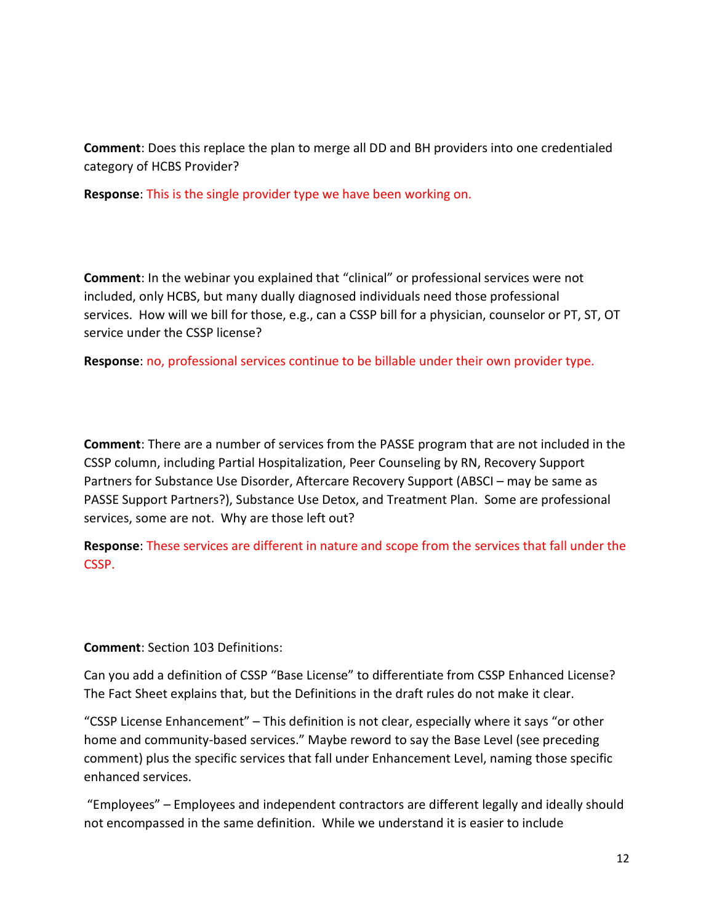Comment: Does this replace the plan to merge all DD and BH providers into one credentialed category of HCBS Provider?

Response: This is the single provider type we have been working on.

Comment: In the webinar you explained that "clinical" or professional services were not included, only HCBS, but many dually diagnosed individuals need those professional services. How will we bill for those, e.g., can a CSSP bill for a physician, counselor or PT, ST, OT service under the CSSP license?

Response: no, professional services continue to be billable under their own provider type.

Comment: There are a number of services from the PASSE program that are not included in the CSSP column, including Partial Hospitalization, Peer Counseling by RN, Recovery Support Partners for Substance Use Disorder, Aftercare Recovery Support (ABSCI – may be same as PASSE Support Partners?), Substance Use Detox, and Treatment Plan. Some are professional services, some are not. Why are those left out?

Response: These services are different in nature and scope from the services that fall under the CSSP.

Comment: Section 103 Definitions:

Can you add a definition of CSSP "Base License" to differentiate from CSSP Enhanced License? The Fact Sheet explains that, but the Definitions in the draft rules do not make it clear.

"CSSP License Enhancement" – This definition is not clear, especially where it says "or other home and community-based services." Maybe reword to say the Base Level (see preceding comment) plus the specific services that fall under Enhancement Level, naming those specific enhanced services.

 "Employees" – Employees and independent contractors are different legally and ideally should not encompassed in the same definition. While we understand it is easier to include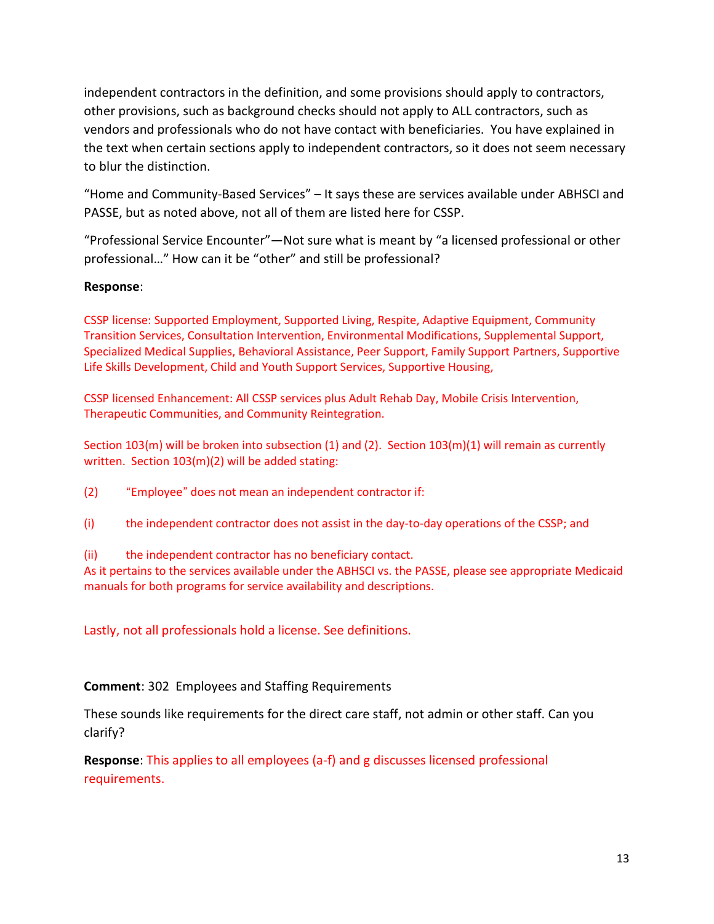independent contractors in the definition, and some provisions should apply to contractors, other provisions, such as background checks should not apply to ALL contractors, such as vendors and professionals who do not have contact with beneficiaries. You have explained in the text when certain sections apply to independent contractors, so it does not seem necessary to blur the distinction.

"Home and Community-Based Services" – It says these are services available under ABHSCI and PASSE, but as noted above, not all of them are listed here for CSSP.

"Professional Service Encounter"—Not sure what is meant by "a licensed professional or other professional…" How can it be "other" and still be professional?

# Response:

CSSP license: Supported Employment, Supported Living, Respite, Adaptive Equipment, Community Transition Services, Consultation Intervention, Environmental Modifications, Supplemental Support, Specialized Medical Supplies, Behavioral Assistance, Peer Support, Family Support Partners, Supportive Life Skills Development, Child and Youth Support Services, Supportive Housing,

CSSP licensed Enhancement: All CSSP services plus Adult Rehab Day, Mobile Crisis Intervention, Therapeutic Communities, and Community Reintegration.

Section 103(m) will be broken into subsection (1) and (2). Section 103(m)(1) will remain as currently written. Section 103(m)(2) will be added stating:

(2) "Employee" does not mean an independent contractor if:

(i) the independent contractor does not assist in the day-to-day operations of the CSSP; and

(ii) the independent contractor has no beneficiary contact.

As it pertains to the services available under the ABHSCI vs. the PASSE, please see appropriate Medicaid manuals for both programs for service availability and descriptions.

Lastly, not all professionals hold a license. See definitions.

Comment: 302 Employees and Staffing Requirements

These sounds like requirements for the direct care staff, not admin or other staff. Can you clarify?

Response: This applies to all employees (a-f) and g discusses licensed professional requirements.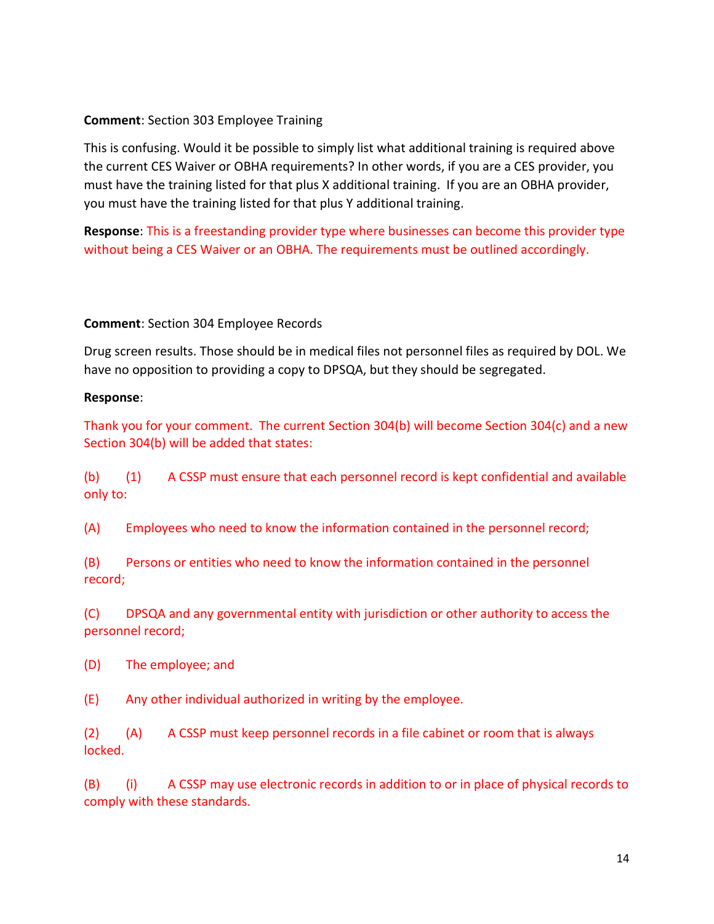#### Comment: Section 303 Employee Training

This is confusing. Would it be possible to simply list what additional training is required above the current CES Waiver or OBHA requirements? In other words, if you are a CES provider, you must have the training listed for that plus X additional training. If you are an OBHA provider, you must have the training listed for that plus Y additional training.

Response: This is a freestanding provider type where businesses can become this provider type without being a CES Waiver or an OBHA. The requirements must be outlined accordingly.

#### Comment: Section 304 Employee Records

Drug screen results. Those should be in medical files not personnel files as required by DOL. We have no opposition to providing a copy to DPSQA, but they should be segregated.

#### Response:

Thank you for your comment. The current Section 304(b) will become Section 304(c) and a new Section 304(b) will be added that states:

(b) (1) A CSSP must ensure that each personnel record is kept confidential and available only to:

(A) Employees who need to know the information contained in the personnel record;

(B) Persons or entities who need to know the information contained in the personnel record;

(C) DPSQA and any governmental entity with jurisdiction or other authority to access the personnel record;

(D) The employee; and

(E) Any other individual authorized in writing by the employee.

(2) (A) A CSSP must keep personnel records in a file cabinet or room that is always locked.

(B) (i) A CSSP may use electronic records in addition to or in place of physical records to comply with these standards.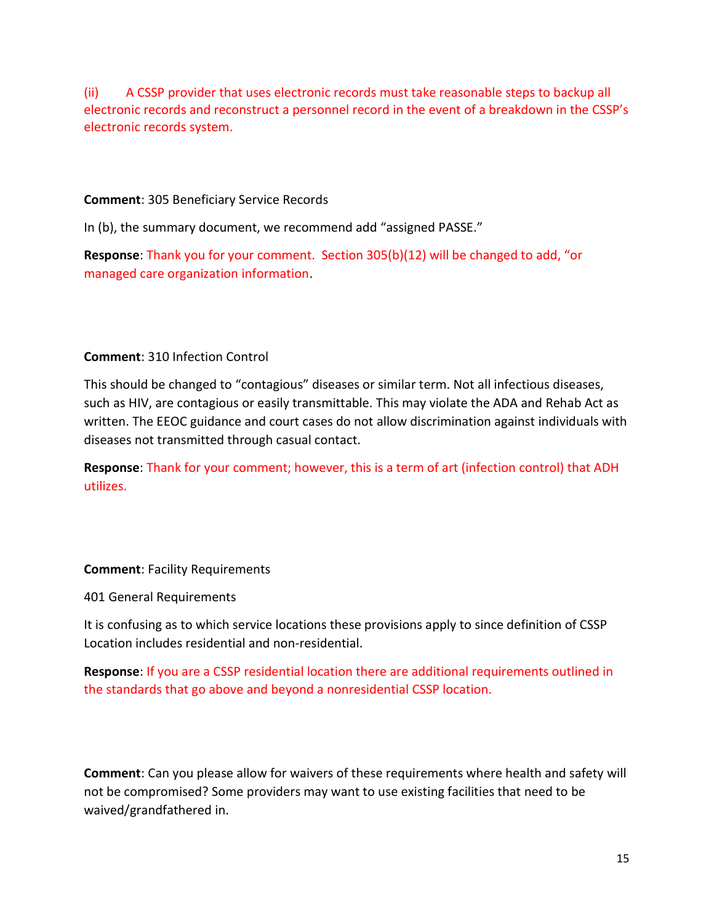(ii) A CSSP provider that uses electronic records must take reasonable steps to backup all electronic records and reconstruct a personnel record in the event of a breakdown in the CSSP's electronic records system.

Comment: 305 Beneficiary Service Records

In (b), the summary document, we recommend add "assigned PASSE."

Response: Thank you for your comment. Section 305(b)(12) will be changed to add, "or managed care organization information.

# Comment: 310 Infection Control

This should be changed to "contagious" diseases or similar term. Not all infectious diseases, such as HIV, are contagious or easily transmittable. This may violate the ADA and Rehab Act as written. The EEOC guidance and court cases do not allow discrimination against individuals with diseases not transmitted through casual contact.

Response: Thank for your comment; however, this is a term of art (infection control) that ADH utilizes.

#### Comment: Facility Requirements

401 General Requirements

It is confusing as to which service locations these provisions apply to since definition of CSSP Location includes residential and non-residential.

Response: If you are a CSSP residential location there are additional requirements outlined in the standards that go above and beyond a nonresidential CSSP location.

Comment: Can you please allow for waivers of these requirements where health and safety will not be compromised? Some providers may want to use existing facilities that need to be waived/grandfathered in.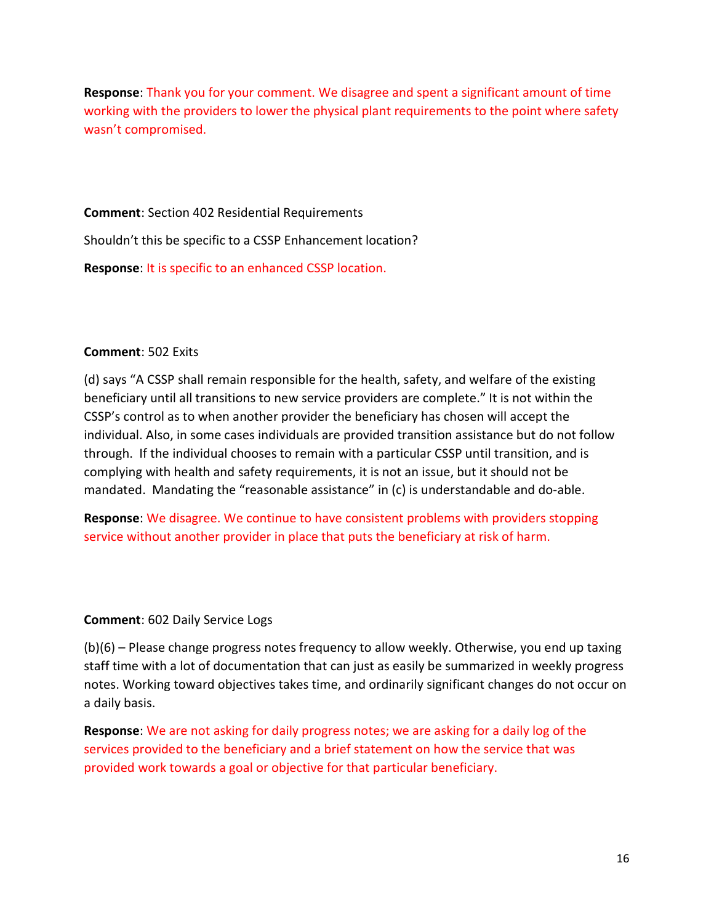Response: Thank you for your comment. We disagree and spent a significant amount of time working with the providers to lower the physical plant requirements to the point where safety wasn't compromised.

Comment: Section 402 Residential Requirements Shouldn't this be specific to a CSSP Enhancement location? Response: It is specific to an enhanced CSSP location.

#### Comment: 502 Exits

(d) says "A CSSP shall remain responsible for the health, safety, and welfare of the existing beneficiary until all transitions to new service providers are complete." It is not within the CSSP's control as to when another provider the beneficiary has chosen will accept the individual. Also, in some cases individuals are provided transition assistance but do not follow through. If the individual chooses to remain with a particular CSSP until transition, and is complying with health and safety requirements, it is not an issue, but it should not be mandated. Mandating the "reasonable assistance" in (c) is understandable and do-able.

Response: We disagree. We continue to have consistent problems with providers stopping service without another provider in place that puts the beneficiary at risk of harm.

#### Comment: 602 Daily Service Logs

(b)(6) – Please change progress notes frequency to allow weekly. Otherwise, you end up taxing staff time with a lot of documentation that can just as easily be summarized in weekly progress notes. Working toward objectives takes time, and ordinarily significant changes do not occur on a daily basis.

Response: We are not asking for daily progress notes; we are asking for a daily log of the services provided to the beneficiary and a brief statement on how the service that was provided work towards a goal or objective for that particular beneficiary.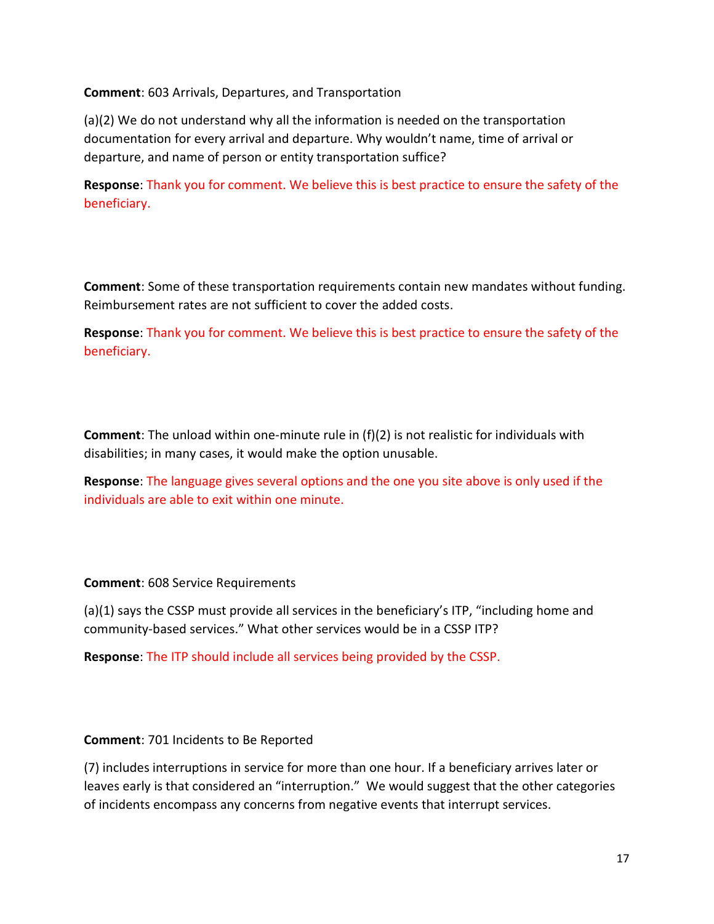Comment: 603 Arrivals, Departures, and Transportation

(a)(2) We do not understand why all the information is needed on the transportation documentation for every arrival and departure. Why wouldn't name, time of arrival or departure, and name of person or entity transportation suffice?

Response: Thank you for comment. We believe this is best practice to ensure the safety of the beneficiary.

Comment: Some of these transportation requirements contain new mandates without funding. Reimbursement rates are not sufficient to cover the added costs.

Response: Thank you for comment. We believe this is best practice to ensure the safety of the beneficiary.

Comment: The unload within one-minute rule in (f)(2) is not realistic for individuals with disabilities; in many cases, it would make the option unusable.

Response: The language gives several options and the one you site above is only used if the individuals are able to exit within one minute.

Comment: 608 Service Requirements

(a)(1) says the CSSP must provide all services in the beneficiary's ITP, "including home and community-based services." What other services would be in a CSSP ITP?

Response: The ITP should include all services being provided by the CSSP.

#### Comment: 701 Incidents to Be Reported

(7) includes interruptions in service for more than one hour. If a beneficiary arrives later or leaves early is that considered an "interruption." We would suggest that the other categories of incidents encompass any concerns from negative events that interrupt services.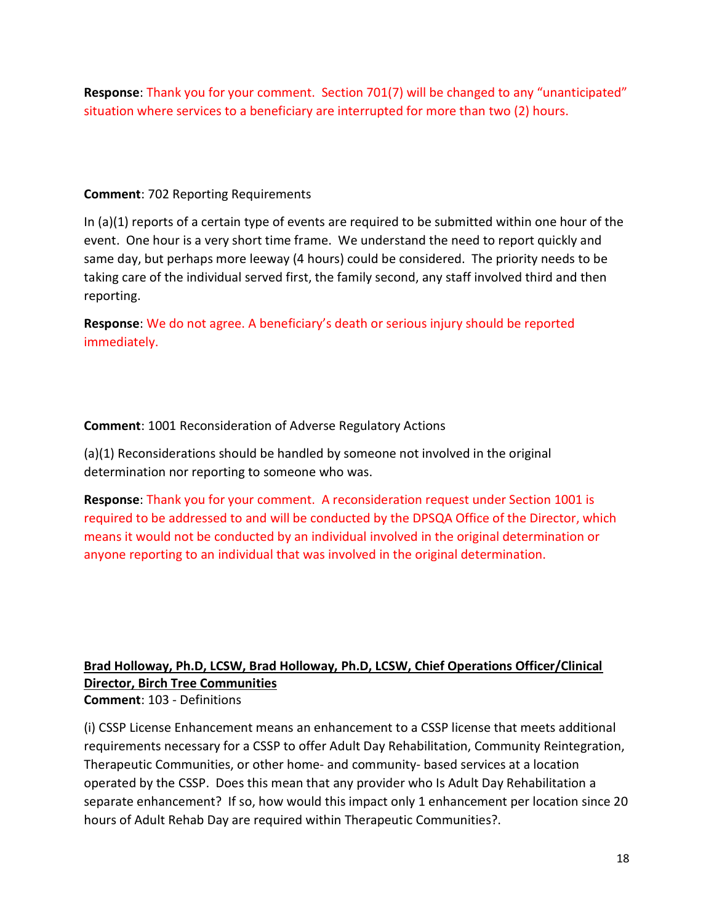Response: Thank you for your comment. Section 701(7) will be changed to any "unanticipated" situation where services to a beneficiary are interrupted for more than two (2) hours.

### Comment: 702 Reporting Requirements

In (a)(1) reports of a certain type of events are required to be submitted within one hour of the event. One hour is a very short time frame. We understand the need to report quickly and same day, but perhaps more leeway (4 hours) could be considered. The priority needs to be taking care of the individual served first, the family second, any staff involved third and then reporting.

Response: We do not agree. A beneficiary's death or serious injury should be reported immediately.

# Comment: 1001 Reconsideration of Adverse Regulatory Actions

(a)(1) Reconsiderations should be handled by someone not involved in the original determination nor reporting to someone who was.

Response: Thank you for your comment. A reconsideration request under Section 1001 is required to be addressed to and will be conducted by the DPSQA Office of the Director, which means it would not be conducted by an individual involved in the original determination or anyone reporting to an individual that was involved in the original determination.

### Brad Holloway, Ph.D, LCSW, Brad Holloway, Ph.D, LCSW, Chief Operations Officer/Clinical Director, Birch Tree Communities Comment: 103 - Definitions

(i) CSSP License Enhancement means an enhancement to a CSSP license that meets additional requirements necessary for a CSSP to offer Adult Day Rehabilitation, Community Reintegration, Therapeutic Communities, or other home- and community- based services at a location operated by the CSSP. Does this mean that any provider who Is Adult Day Rehabilitation a separate enhancement? If so, how would this impact only 1 enhancement per location since 20 hours of Adult Rehab Day are required within Therapeutic Communities?.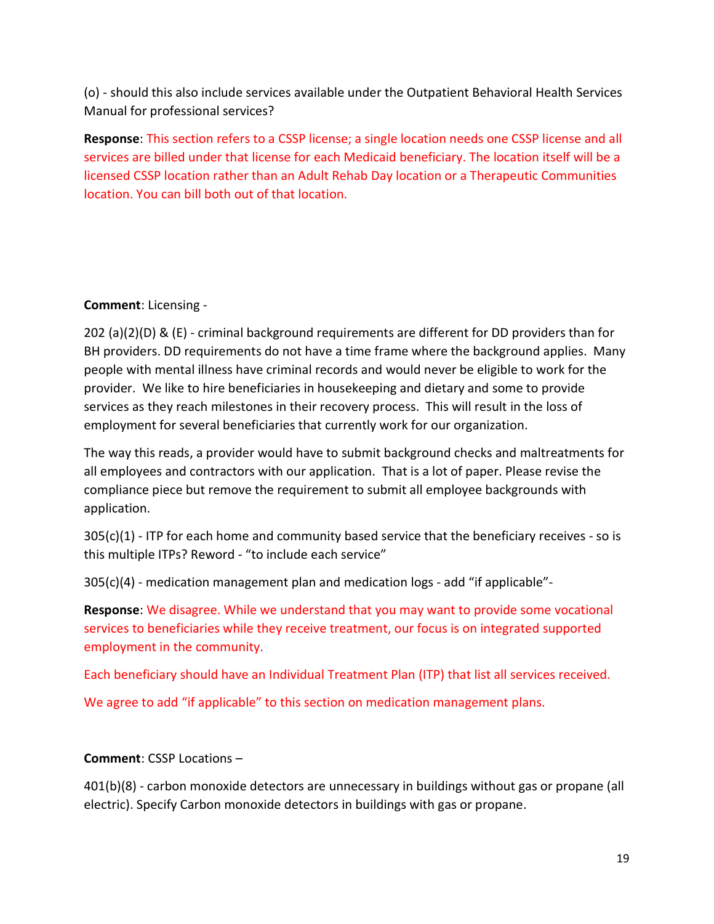(o) - should this also include services available under the Outpatient Behavioral Health Services Manual for professional services?

Response: This section refers to a CSSP license; a single location needs one CSSP license and all services are billed under that license for each Medicaid beneficiary. The location itself will be a licensed CSSP location rather than an Adult Rehab Day location or a Therapeutic Communities location. You can bill both out of that location.

# Comment: Licensing -

202 (a)(2)(D) & (E) - criminal background requirements are different for DD providers than for BH providers. DD requirements do not have a time frame where the background applies. Many people with mental illness have criminal records and would never be eligible to work for the provider. We like to hire beneficiaries in housekeeping and dietary and some to provide services as they reach milestones in their recovery process. This will result in the loss of employment for several beneficiaries that currently work for our organization.

The way this reads, a provider would have to submit background checks and maltreatments for all employees and contractors with our application. That is a lot of paper. Please revise the compliance piece but remove the requirement to submit all employee backgrounds with application.

 $305(c)(1)$  - ITP for each home and community based service that the beneficiary receives - so is this multiple ITPs? Reword - "to include each service"

305(c)(4) - medication management plan and medication logs - add "if applicable"-

Response: We disagree. While we understand that you may want to provide some vocational services to beneficiaries while they receive treatment, our focus is on integrated supported employment in the community.

Each beneficiary should have an Individual Treatment Plan (ITP) that list all services received.

We agree to add "if applicable" to this section on medication management plans.

# Comment: CSSP Locations –

401(b)(8) - carbon monoxide detectors are unnecessary in buildings without gas or propane (all electric). Specify Carbon monoxide detectors in buildings with gas or propane.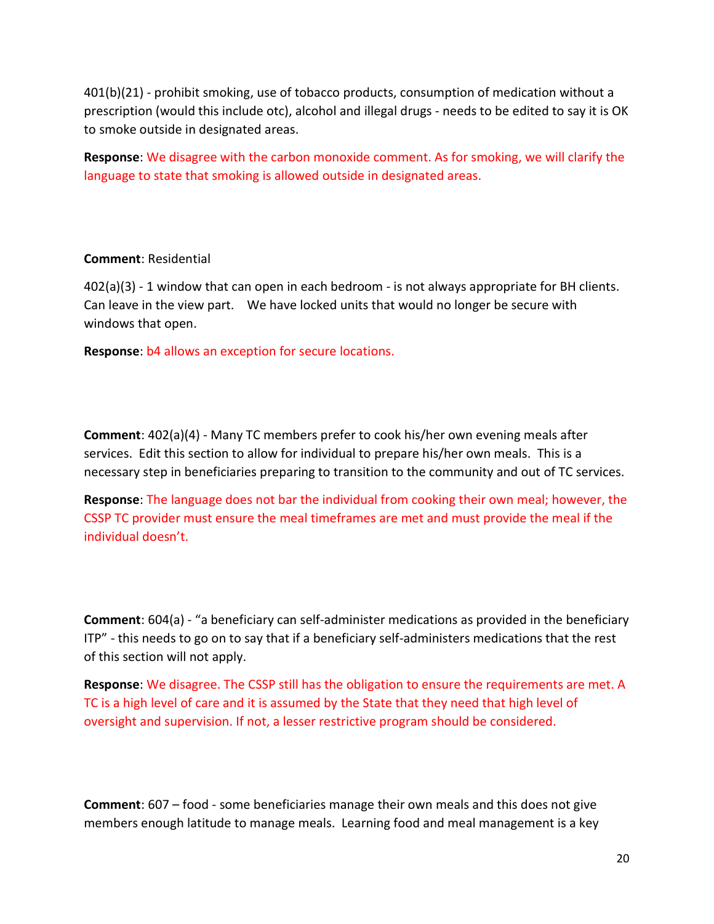401(b)(21) - prohibit smoking, use of tobacco products, consumption of medication without a prescription (would this include otc), alcohol and illegal drugs - needs to be edited to say it is OK to smoke outside in designated areas.

Response: We disagree with the carbon monoxide comment. As for smoking, we will clarify the language to state that smoking is allowed outside in designated areas.

#### Comment: Residential

402(a)(3) - 1 window that can open in each bedroom - is not always appropriate for BH clients. Can leave in the view part. We have locked units that would no longer be secure with windows that open.

Response: b4 allows an exception for secure locations.

Comment: 402(a)(4) - Many TC members prefer to cook his/her own evening meals after services. Edit this section to allow for individual to prepare his/her own meals. This is a necessary step in beneficiaries preparing to transition to the community and out of TC services.

Response: The language does not bar the individual from cooking their own meal; however, the CSSP TC provider must ensure the meal timeframes are met and must provide the meal if the individual doesn't.

Comment: 604(a) - "a beneficiary can self-administer medications as provided in the beneficiary ITP" - this needs to go on to say that if a beneficiary self-administers medications that the rest of this section will not apply.

Response: We disagree. The CSSP still has the obligation to ensure the requirements are met. A TC is a high level of care and it is assumed by the State that they need that high level of oversight and supervision. If not, a lesser restrictive program should be considered.

Comment: 607 – food - some beneficiaries manage their own meals and this does not give members enough latitude to manage meals. Learning food and meal management is a key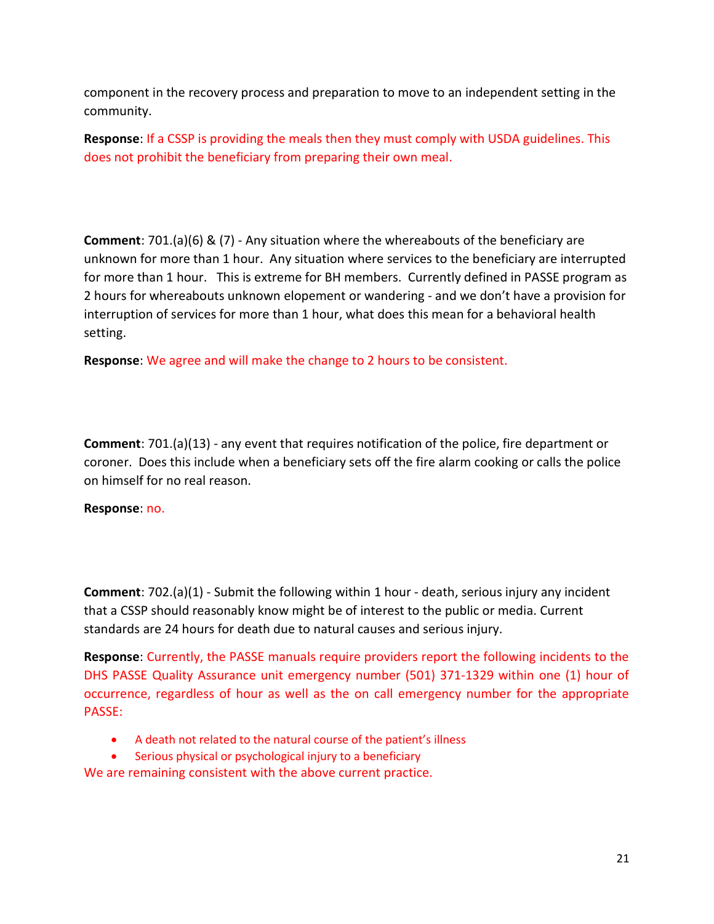component in the recovery process and preparation to move to an independent setting in the community.

Response: If a CSSP is providing the meals then they must comply with USDA guidelines. This does not prohibit the beneficiary from preparing their own meal.

Comment: 701.(a)(6) & (7) - Any situation where the whereabouts of the beneficiary are unknown for more than 1 hour. Any situation where services to the beneficiary are interrupted for more than 1 hour. This is extreme for BH members. Currently defined in PASSE program as 2 hours for whereabouts unknown elopement or wandering - and we don't have a provision for interruption of services for more than 1 hour, what does this mean for a behavioral health setting.

Response: We agree and will make the change to 2 hours to be consistent.

Comment: 701.(a)(13) - any event that requires notification of the police, fire department or coroner. Does this include when a beneficiary sets off the fire alarm cooking or calls the police on himself for no real reason.

#### Response: no.

Comment: 702.(a)(1) - Submit the following within 1 hour - death, serious injury any incident that a CSSP should reasonably know might be of interest to the public or media. Current standards are 24 hours for death due to natural causes and serious injury.

Response: Currently, the PASSE manuals require providers report the following incidents to the DHS PASSE Quality Assurance unit emergency number (501) 371-1329 within one (1) hour of occurrence, regardless of hour as well as the on call emergency number for the appropriate PASSE:

- A death not related to the natural course of the patient's illness
- Serious physical or psychological injury to a beneficiary

We are remaining consistent with the above current practice.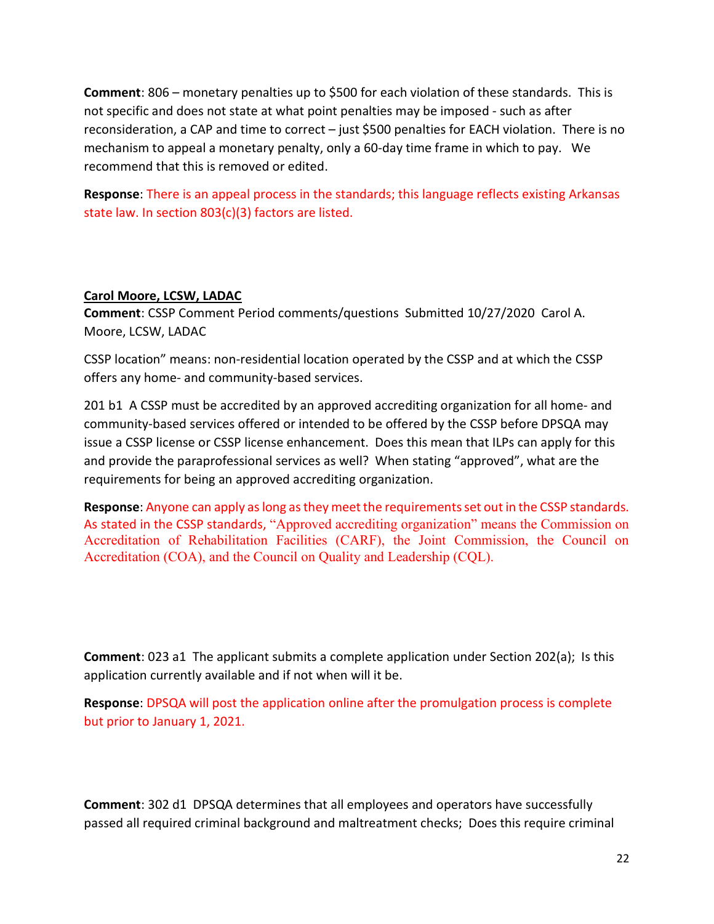Comment: 806 – monetary penalties up to \$500 for each violation of these standards. This is not specific and does not state at what point penalties may be imposed - such as after reconsideration, a CAP and time to correct – just \$500 penalties for EACH violation. There is no mechanism to appeal a monetary penalty, only a 60-day time frame in which to pay. We recommend that this is removed or edited.

Response: There is an appeal process in the standards; this language reflects existing Arkansas state law. In section 803(c)(3) factors are listed.

#### Carol Moore, LCSW, LADAC

Comment: CSSP Comment Period comments/questions Submitted 10/27/2020 Carol A. Moore, LCSW, LADAC

CSSP location" means: non-residential location operated by the CSSP and at which the CSSP offers any home- and community-based services.

201 b1 A CSSP must be accredited by an approved accrediting organization for all home- and community-based services offered or intended to be offered by the CSSP before DPSQA may issue a CSSP license or CSSP license enhancement. Does this mean that ILPs can apply for this and provide the paraprofessional services as well? When stating "approved", what are the requirements for being an approved accrediting organization.

Response: Anyone can apply as long as they meet the requirements set out in the CSSP standards. As stated in the CSSP standards, "Approved accrediting organization" means the Commission on Accreditation of Rehabilitation Facilities (CARF), the Joint Commission, the Council on Accreditation (COA), and the Council on Quality and Leadership (CQL).

Comment: 023 a1 The applicant submits a complete application under Section 202(a); Is this application currently available and if not when will it be.

Response: DPSQA will post the application online after the promulgation process is complete but prior to January 1, 2021.

Comment: 302 d1 DPSQA determines that all employees and operators have successfully passed all required criminal background and maltreatment checks; Does this require criminal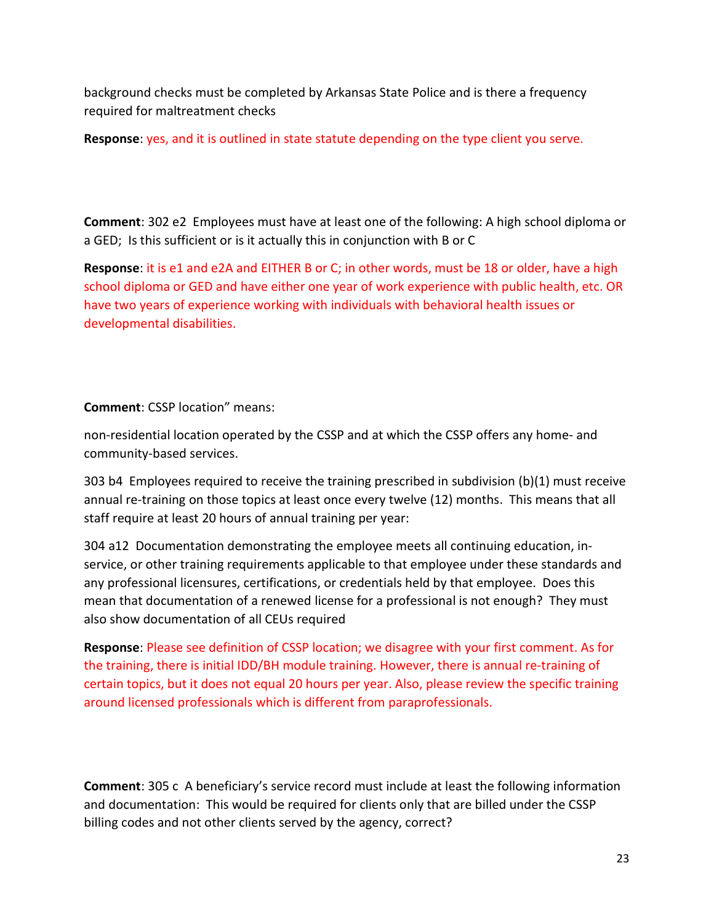background checks must be completed by Arkansas State Police and is there a frequency required for maltreatment checks

Response: yes, and it is outlined in state statute depending on the type client you serve.

Comment: 302 e2 Employees must have at least one of the following: A high school diploma or a GED; Is this sufficient or is it actually this in conjunction with B or C

Response: it is e1 and e2A and EITHER B or C; in other words, must be 18 or older, have a high school diploma or GED and have either one year of work experience with public health, etc. OR have two years of experience working with individuals with behavioral health issues or developmental disabilities.

Comment: CSSP location" means:

non-residential location operated by the CSSP and at which the CSSP offers any home- and community-based services.

303 b4 Employees required to receive the training prescribed in subdivision (b)(1) must receive annual re-training on those topics at least once every twelve (12) months. This means that all staff require at least 20 hours of annual training per year:

304 a12 Documentation demonstrating the employee meets all continuing education, inservice, or other training requirements applicable to that employee under these standards and any professional licensures, certifications, or credentials held by that employee. Does this mean that documentation of a renewed license for a professional is not enough? They must also show documentation of all CEUs required

Response: Please see definition of CSSP location; we disagree with your first comment. As for the training, there is initial IDD/BH module training. However, there is annual re-training of certain topics, but it does not equal 20 hours per year. Also, please review the specific training around licensed professionals which is different from paraprofessionals.

Comment: 305 c A beneficiary's service record must include at least the following information and documentation: This would be required for clients only that are billed under the CSSP billing codes and not other clients served by the agency, correct?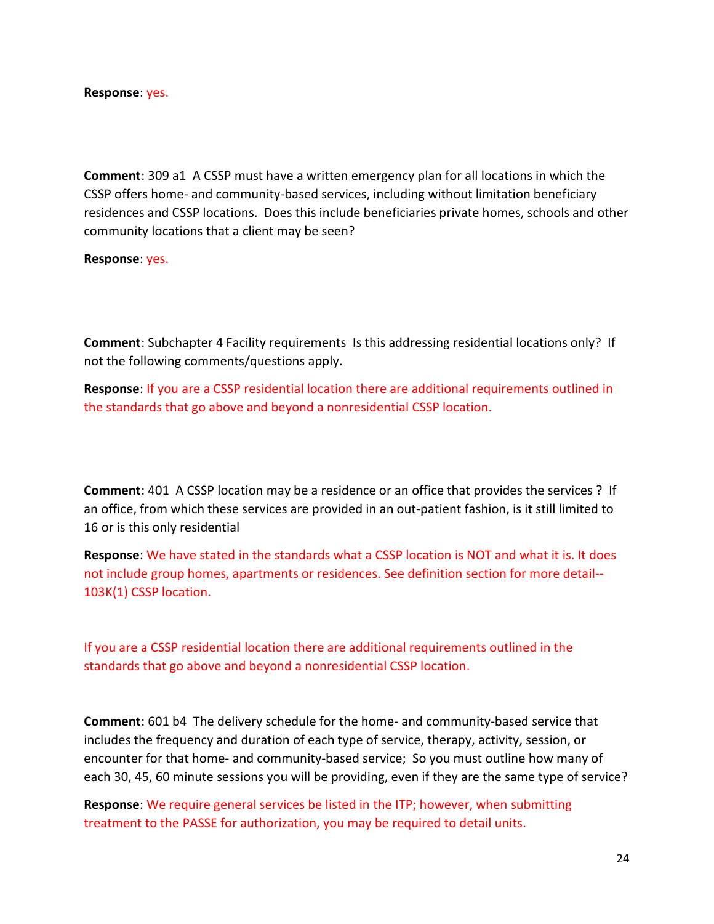#### Response: yes.

Comment: 309 a1 A CSSP must have a written emergency plan for all locations in which the CSSP offers home- and community-based services, including without limitation beneficiary residences and CSSP locations. Does this include beneficiaries private homes, schools and other community locations that a client may be seen?

Response: yes.

Comment: Subchapter 4 Facility requirements Is this addressing residential locations only? If not the following comments/questions apply.

Response: If you are a CSSP residential location there are additional requirements outlined in the standards that go above and beyond a nonresidential CSSP location.

Comment: 401 A CSSP location may be a residence or an office that provides the services ? If an office, from which these services are provided in an out-patient fashion, is it still limited to 16 or is this only residential

Response: We have stated in the standards what a CSSP location is NOT and what it is. It does not include group homes, apartments or residences. See definition section for more detail-- 103K(1) CSSP location.

If you are a CSSP residential location there are additional requirements outlined in the standards that go above and beyond a nonresidential CSSP location.

Comment: 601 b4 The delivery schedule for the home- and community-based service that includes the frequency and duration of each type of service, therapy, activity, session, or encounter for that home- and community-based service; So you must outline how many of each 30, 45, 60 minute sessions you will be providing, even if they are the same type of service?

Response: We require general services be listed in the ITP; however, when submitting treatment to the PASSE for authorization, you may be required to detail units.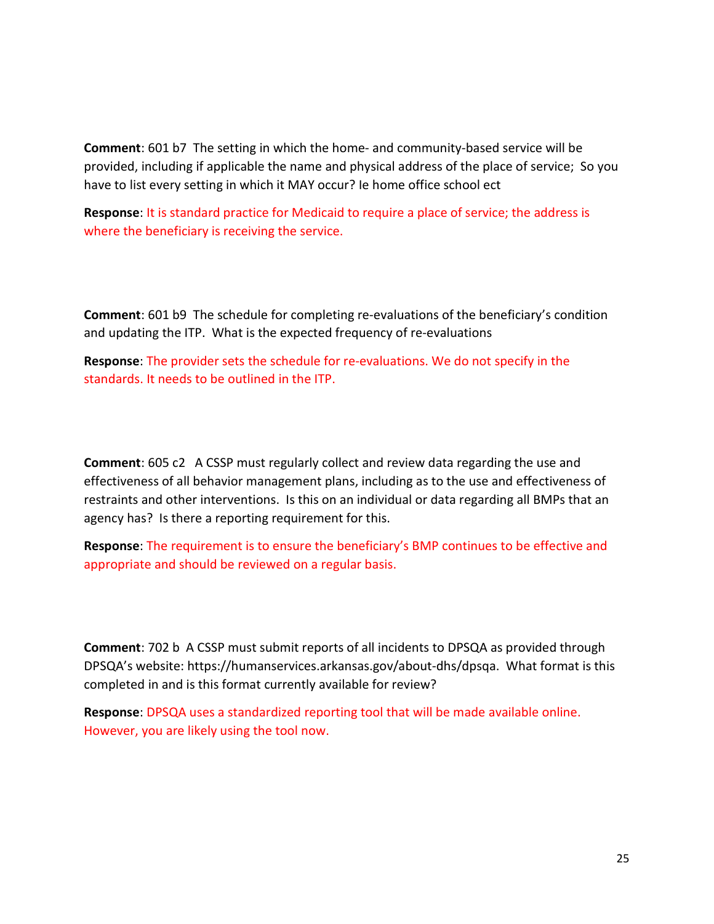Comment: 601 b7 The setting in which the home- and community-based service will be provided, including if applicable the name and physical address of the place of service; So you have to list every setting in which it MAY occur? Ie home office school ect

Response: It is standard practice for Medicaid to require a place of service; the address is where the beneficiary is receiving the service.

Comment: 601 b9 The schedule for completing re-evaluations of the beneficiary's condition and updating the ITP. What is the expected frequency of re-evaluations

Response: The provider sets the schedule for re-evaluations. We do not specify in the standards. It needs to be outlined in the ITP.

Comment: 605 c2 A CSSP must regularly collect and review data regarding the use and effectiveness of all behavior management plans, including as to the use and effectiveness of restraints and other interventions. Is this on an individual or data regarding all BMPs that an agency has? Is there a reporting requirement for this.

Response: The requirement is to ensure the beneficiary's BMP continues to be effective and appropriate and should be reviewed on a regular basis.

Comment: 702 b A CSSP must submit reports of all incidents to DPSQA as provided through DPSQA's website: https://humanservices.arkansas.gov/about-dhs/dpsqa. What format is this completed in and is this format currently available for review?

Response: DPSQA uses a standardized reporting tool that will be made available online. However, you are likely using the tool now.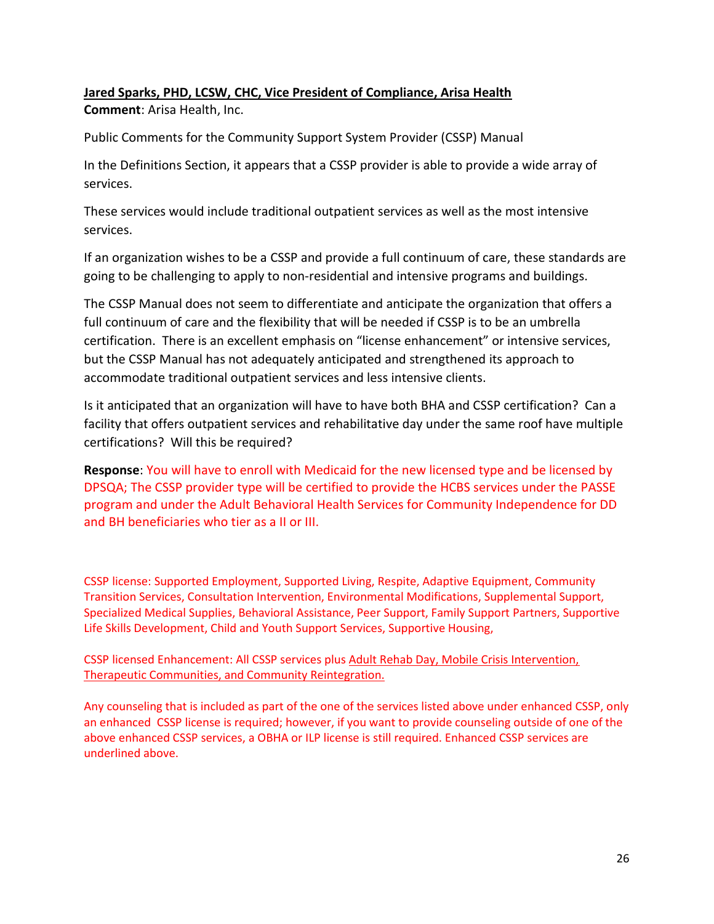### Jared Sparks, PHD, LCSW, CHC, Vice President of Compliance, Arisa Health Comment: Arisa Health, Inc.

Public Comments for the Community Support System Provider (CSSP) Manual

In the Definitions Section, it appears that a CSSP provider is able to provide a wide array of services.

These services would include traditional outpatient services as well as the most intensive services.

If an organization wishes to be a CSSP and provide a full continuum of care, these standards are going to be challenging to apply to non-residential and intensive programs and buildings.

The CSSP Manual does not seem to differentiate and anticipate the organization that offers a full continuum of care and the flexibility that will be needed if CSSP is to be an umbrella certification. There is an excellent emphasis on "license enhancement" or intensive services, but the CSSP Manual has not adequately anticipated and strengthened its approach to accommodate traditional outpatient services and less intensive clients.

Is it anticipated that an organization will have to have both BHA and CSSP certification? Can a facility that offers outpatient services and rehabilitative day under the same roof have multiple certifications? Will this be required?

Response: You will have to enroll with Medicaid for the new licensed type and be licensed by DPSQA; The CSSP provider type will be certified to provide the HCBS services under the PASSE program and under the Adult Behavioral Health Services for Community Independence for DD and BH beneficiaries who tier as a II or III.

CSSP license: Supported Employment, Supported Living, Respite, Adaptive Equipment, Community Transition Services, Consultation Intervention, Environmental Modifications, Supplemental Support, Specialized Medical Supplies, Behavioral Assistance, Peer Support, Family Support Partners, Supportive Life Skills Development, Child and Youth Support Services, Supportive Housing,

CSSP licensed Enhancement: All CSSP services plus Adult Rehab Day, Mobile Crisis Intervention, Therapeutic Communities, and Community Reintegration.

Any counseling that is included as part of the one of the services listed above under enhanced CSSP, only an enhanced CSSP license is required; however, if you want to provide counseling outside of one of the above enhanced CSSP services, a OBHA or ILP license is still required. Enhanced CSSP services are underlined above.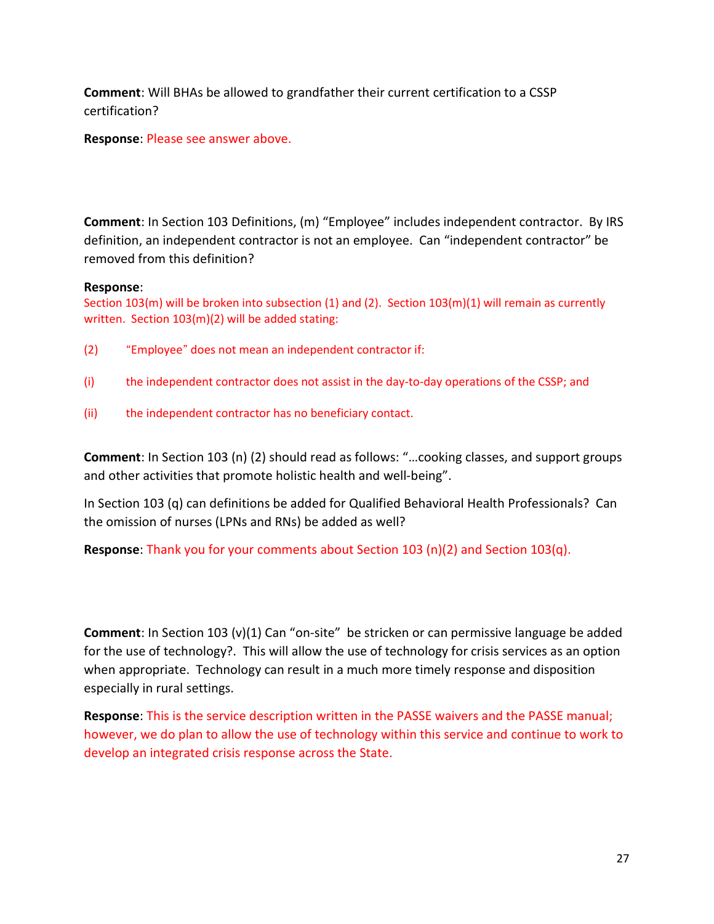Comment: Will BHAs be allowed to grandfather their current certification to a CSSP certification?

Response: Please see answer above.

Comment: In Section 103 Definitions, (m) "Employee" includes independent contractor. By IRS definition, an independent contractor is not an employee. Can "independent contractor" be removed from this definition?

#### Response:

Section 103(m) will be broken into subsection (1) and (2). Section 103(m)(1) will remain as currently written. Section 103(m)(2) will be added stating:

- (2) "Employee" does not mean an independent contractor if:
- (i) the independent contractor does not assist in the day-to-day operations of the CSSP; and
- (ii) the independent contractor has no beneficiary contact.

Comment: In Section 103 (n) (2) should read as follows: "…cooking classes, and support groups and other activities that promote holistic health and well-being".

In Section 103 (q) can definitions be added for Qualified Behavioral Health Professionals? Can the omission of nurses (LPNs and RNs) be added as well?

**Response:** Thank you for your comments about Section 103 (n)(2) and Section 103(q).

Comment: In Section 103 (v)(1) Can "on-site" be stricken or can permissive language be added for the use of technology?. This will allow the use of technology for crisis services as an option when appropriate. Technology can result in a much more timely response and disposition especially in rural settings.

Response: This is the service description written in the PASSE waivers and the PASSE manual; however, we do plan to allow the use of technology within this service and continue to work to develop an integrated crisis response across the State.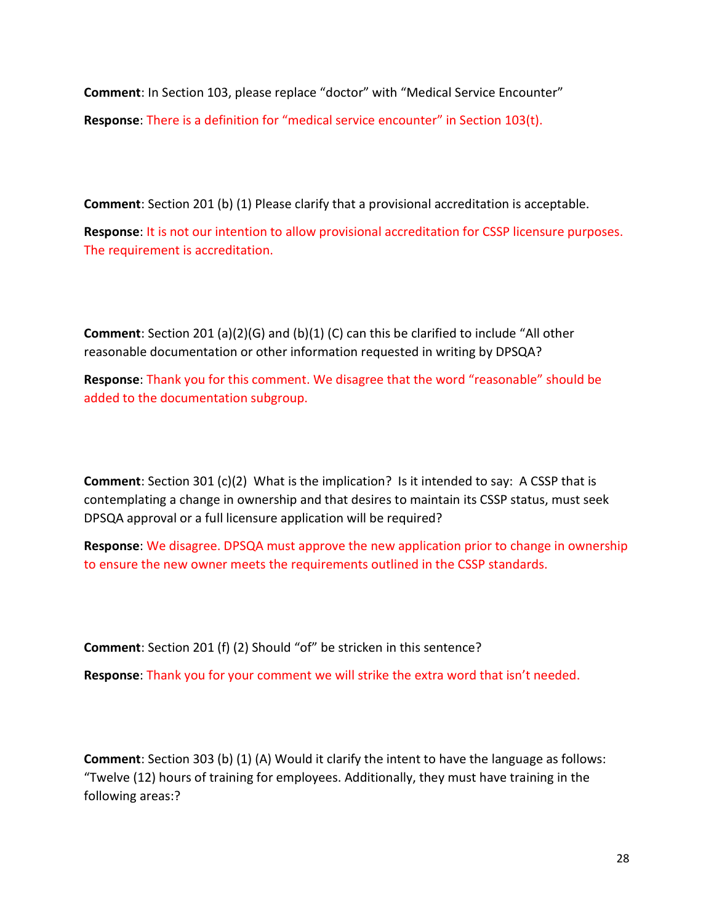Comment: In Section 103, please replace "doctor" with "Medical Service Encounter"

Response: There is a definition for "medical service encounter" in Section 103(t).

Comment: Section 201 (b) (1) Please clarify that a provisional accreditation is acceptable.

Response: It is not our intention to allow provisional accreditation for CSSP licensure purposes. The requirement is accreditation.

Comment: Section 201 (a)(2)(G) and (b)(1) (C) can this be clarified to include "All other reasonable documentation or other information requested in writing by DPSQA?

Response: Thank you for this comment. We disagree that the word "reasonable" should be added to the documentation subgroup.

Comment: Section 301 (c)(2) What is the implication? Is it intended to say: A CSSP that is contemplating a change in ownership and that desires to maintain its CSSP status, must seek DPSQA approval or a full licensure application will be required?

Response: We disagree. DPSQA must approve the new application prior to change in ownership to ensure the new owner meets the requirements outlined in the CSSP standards.

Comment: Section 201 (f) (2) Should "of" be stricken in this sentence?

Response: Thank you for your comment we will strike the extra word that isn't needed.

Comment: Section 303 (b) (1) (A) Would it clarify the intent to have the language as follows: "Twelve (12) hours of training for employees. Additionally, they must have training in the following areas:?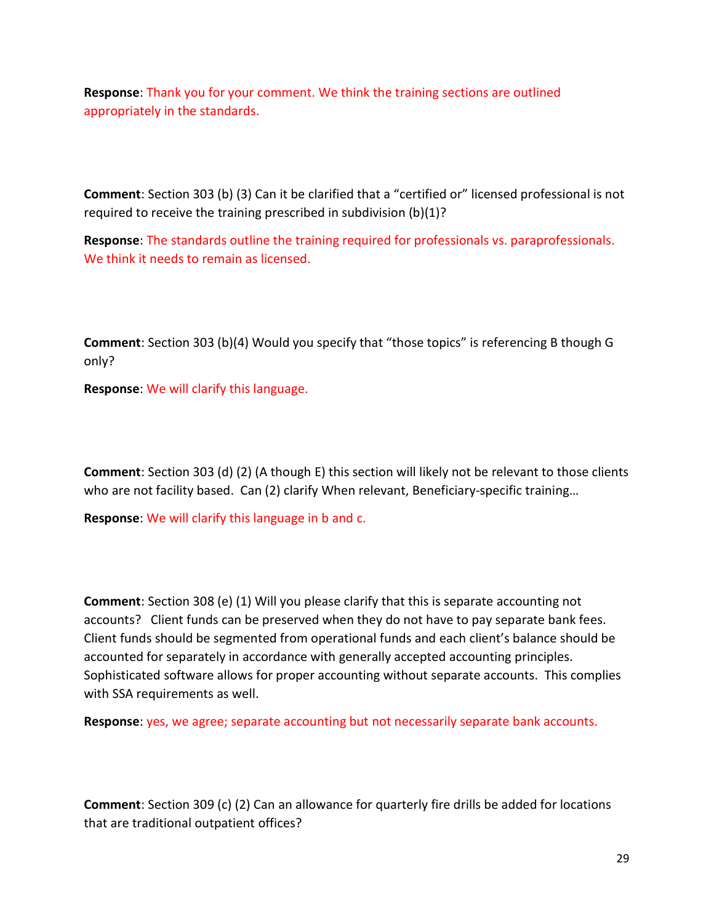Response: Thank you for your comment. We think the training sections are outlined appropriately in the standards.

Comment: Section 303 (b) (3) Can it be clarified that a "certified or" licensed professional is not required to receive the training prescribed in subdivision (b)(1)?

Response: The standards outline the training required for professionals vs. paraprofessionals. We think it needs to remain as licensed.

Comment: Section 303 (b)(4) Would you specify that "those topics" is referencing B though G only?

Response: We will clarify this language.

Comment: Section 303 (d) (2) (A though E) this section will likely not be relevant to those clients who are not facility based. Can (2) clarify When relevant, Beneficiary-specific training...

Response: We will clarify this language in b and c.

Comment: Section 308 (e) (1) Will you please clarify that this is separate accounting not accounts? Client funds can be preserved when they do not have to pay separate bank fees. Client funds should be segmented from operational funds and each client's balance should be accounted for separately in accordance with generally accepted accounting principles. Sophisticated software allows for proper accounting without separate accounts. This complies with SSA requirements as well.

Response: yes, we agree; separate accounting but not necessarily separate bank accounts.

Comment: Section 309 (c) (2) Can an allowance for quarterly fire drills be added for locations that are traditional outpatient offices?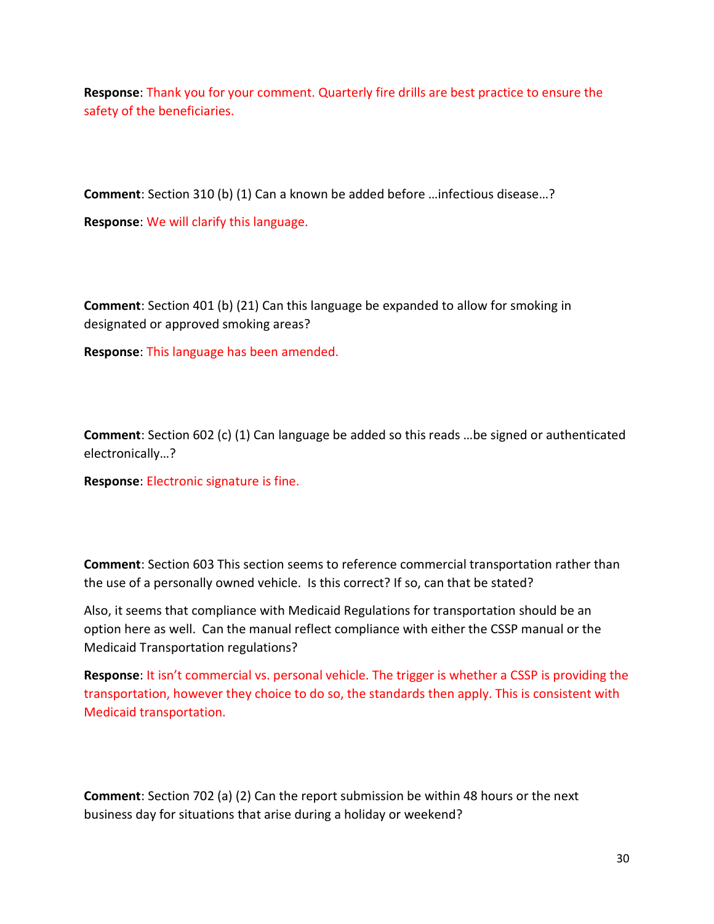Response: Thank you for your comment. Quarterly fire drills are best practice to ensure the safety of the beneficiaries.

Comment: Section 310 (b) (1) Can a known be added before …infectious disease…?

Response: We will clarify this language.

Comment: Section 401 (b) (21) Can this language be expanded to allow for smoking in designated or approved smoking areas?

Response: This language has been amended.

Comment: Section 602 (c) (1) Can language be added so this reads …be signed or authenticated electronically…?

Response: Electronic signature is fine.

Comment: Section 603 This section seems to reference commercial transportation rather than the use of a personally owned vehicle. Is this correct? If so, can that be stated?

Also, it seems that compliance with Medicaid Regulations for transportation should be an option here as well. Can the manual reflect compliance with either the CSSP manual or the Medicaid Transportation regulations?

Response: It isn't commercial vs. personal vehicle. The trigger is whether a CSSP is providing the transportation, however they choice to do so, the standards then apply. This is consistent with Medicaid transportation.

Comment: Section 702 (a) (2) Can the report submission be within 48 hours or the next business day for situations that arise during a holiday or weekend?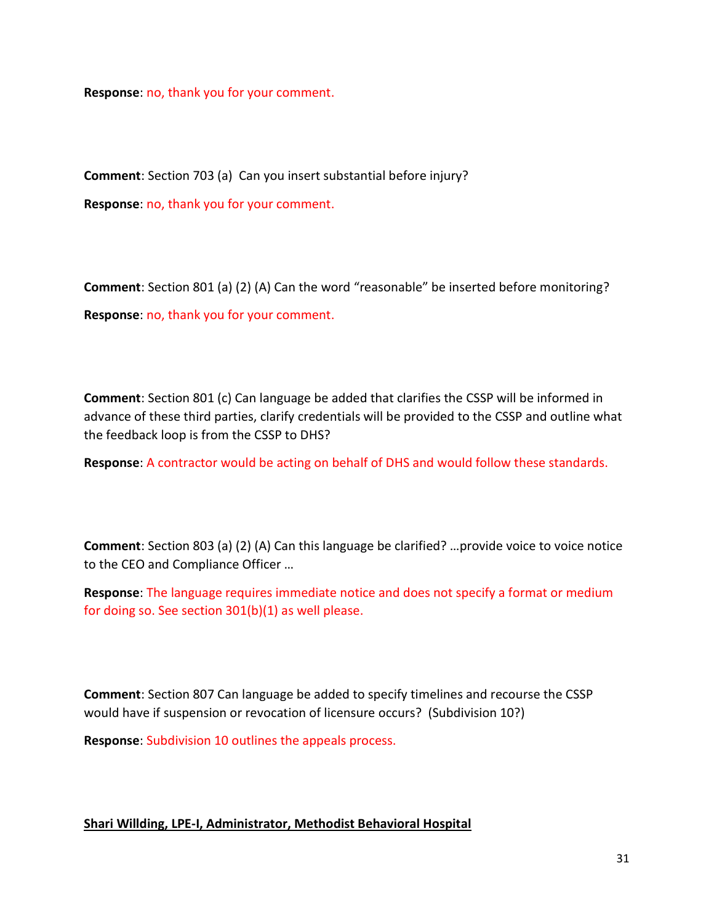Response: no, thank you for your comment.

Comment: Section 703 (a) Can you insert substantial before injury? Response: no, thank you for your comment.

Comment: Section 801 (a) (2) (A) Can the word "reasonable" be inserted before monitoring? Response: no, thank you for your comment.

Comment: Section 801 (c) Can language be added that clarifies the CSSP will be informed in advance of these third parties, clarify credentials will be provided to the CSSP and outline what the feedback loop is from the CSSP to DHS?

Response: A contractor would be acting on behalf of DHS and would follow these standards.

Comment: Section 803 (a) (2) (A) Can this language be clarified? …provide voice to voice notice to the CEO and Compliance Officer …

Response: The language requires immediate notice and does not specify a format or medium for doing so. See section 301(b)(1) as well please.

Comment: Section 807 Can language be added to specify timelines and recourse the CSSP would have if suspension or revocation of licensure occurs? (Subdivision 10?)

Response: Subdivision 10 outlines the appeals process.

#### Shari Willding, LPE-I, Administrator, Methodist Behavioral Hospital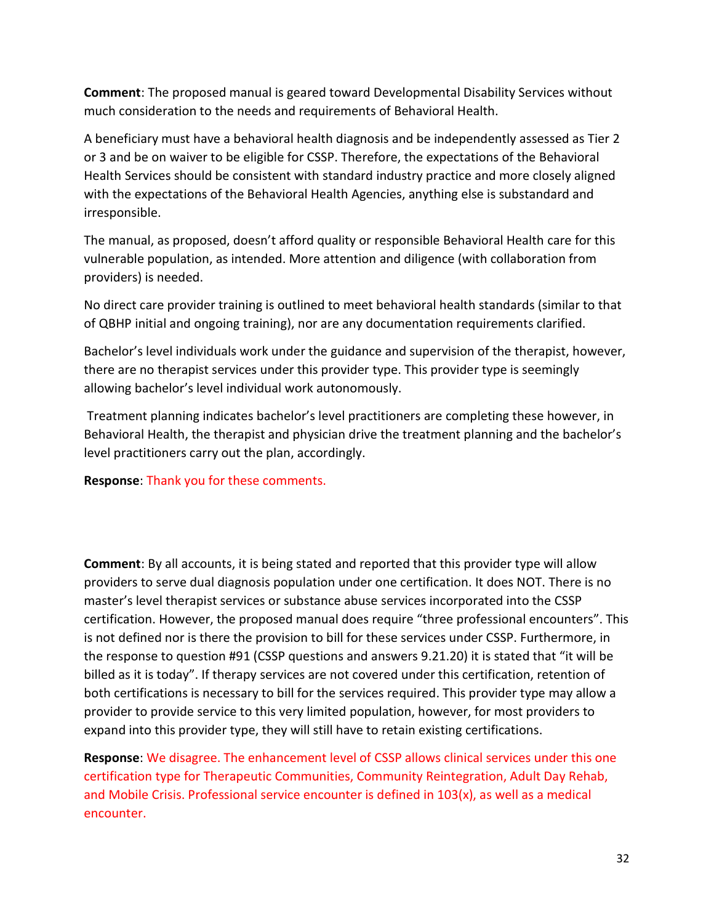Comment: The proposed manual is geared toward Developmental Disability Services without much consideration to the needs and requirements of Behavioral Health.

A beneficiary must have a behavioral health diagnosis and be independently assessed as Tier 2 or 3 and be on waiver to be eligible for CSSP. Therefore, the expectations of the Behavioral Health Services should be consistent with standard industry practice and more closely aligned with the expectations of the Behavioral Health Agencies, anything else is substandard and irresponsible.

The manual, as proposed, doesn't afford quality or responsible Behavioral Health care for this vulnerable population, as intended. More attention and diligence (with collaboration from providers) is needed.

No direct care provider training is outlined to meet behavioral health standards (similar to that of QBHP initial and ongoing training), nor are any documentation requirements clarified.

Bachelor's level individuals work under the guidance and supervision of the therapist, however, there are no therapist services under this provider type. This provider type is seemingly allowing bachelor's level individual work autonomously.

 Treatment planning indicates bachelor's level practitioners are completing these however, in Behavioral Health, the therapist and physician drive the treatment planning and the bachelor's level practitioners carry out the plan, accordingly.

Response: Thank you for these comments.

Comment: By all accounts, it is being stated and reported that this provider type will allow providers to serve dual diagnosis population under one certification. It does NOT. There is no master's level therapist services or substance abuse services incorporated into the CSSP certification. However, the proposed manual does require "three professional encounters". This is not defined nor is there the provision to bill for these services under CSSP. Furthermore, in the response to question #91 (CSSP questions and answers 9.21.20) it is stated that "it will be billed as it is today". If therapy services are not covered under this certification, retention of both certifications is necessary to bill for the services required. This provider type may allow a provider to provide service to this very limited population, however, for most providers to expand into this provider type, they will still have to retain existing certifications.

Response: We disagree. The enhancement level of CSSP allows clinical services under this one certification type for Therapeutic Communities, Community Reintegration, Adult Day Rehab, and Mobile Crisis. Professional service encounter is defined in 103(x), as well as a medical encounter.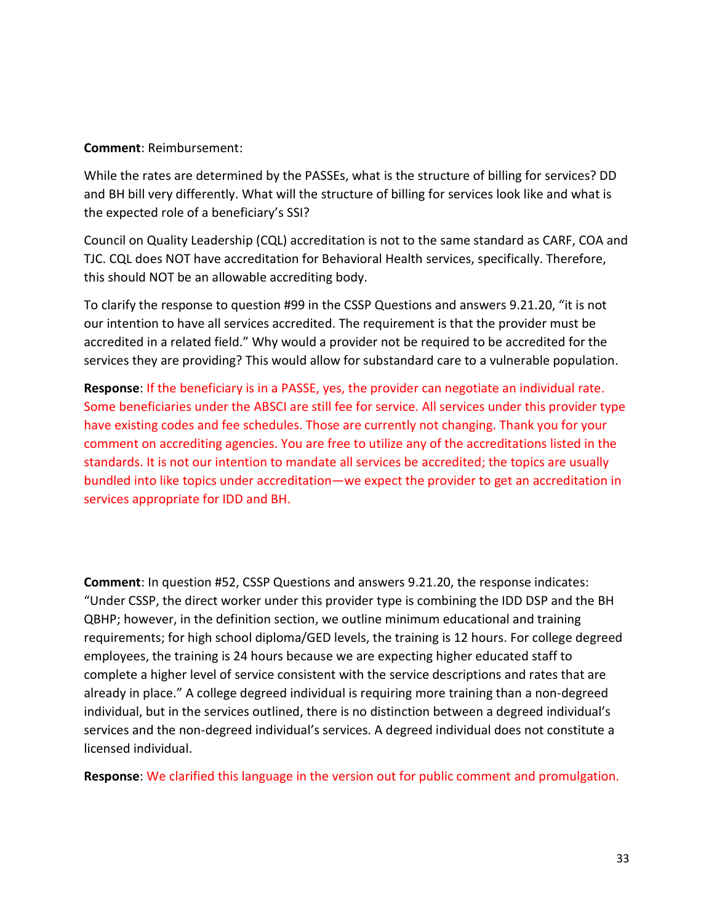#### Comment: Reimbursement:

While the rates are determined by the PASSEs, what is the structure of billing for services? DD and BH bill very differently. What will the structure of billing for services look like and what is the expected role of a beneficiary's SSI?

Council on Quality Leadership (CQL) accreditation is not to the same standard as CARF, COA and TJC. CQL does NOT have accreditation for Behavioral Health services, specifically. Therefore, this should NOT be an allowable accrediting body.

To clarify the response to question #99 in the CSSP Questions and answers 9.21.20, "it is not our intention to have all services accredited. The requirement is that the provider must be accredited in a related field." Why would a provider not be required to be accredited for the services they are providing? This would allow for substandard care to a vulnerable population.

Response: If the beneficiary is in a PASSE, yes, the provider can negotiate an individual rate. Some beneficiaries under the ABSCI are still fee for service. All services under this provider type have existing codes and fee schedules. Those are currently not changing. Thank you for your comment on accrediting agencies. You are free to utilize any of the accreditations listed in the standards. It is not our intention to mandate all services be accredited; the topics are usually bundled into like topics under accreditation—we expect the provider to get an accreditation in services appropriate for IDD and BH.

Comment: In question #52, CSSP Questions and answers 9.21.20, the response indicates: "Under CSSP, the direct worker under this provider type is combining the IDD DSP and the BH QBHP; however, in the definition section, we outline minimum educational and training requirements; for high school diploma/GED levels, the training is 12 hours. For college degreed employees, the training is 24 hours because we are expecting higher educated staff to complete a higher level of service consistent with the service descriptions and rates that are already in place." A college degreed individual is requiring more training than a non-degreed individual, but in the services outlined, there is no distinction between a degreed individual's services and the non-degreed individual's services. A degreed individual does not constitute a licensed individual.

Response: We clarified this language in the version out for public comment and promulgation.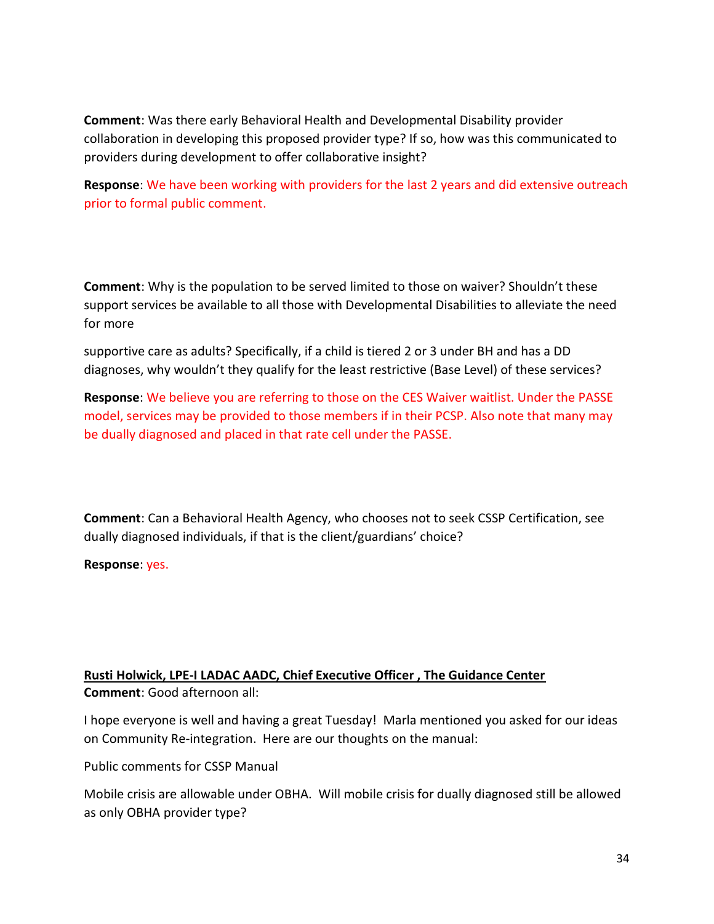Comment: Was there early Behavioral Health and Developmental Disability provider collaboration in developing this proposed provider type? If so, how was this communicated to providers during development to offer collaborative insight?

Response: We have been working with providers for the last 2 years and did extensive outreach prior to formal public comment.

Comment: Why is the population to be served limited to those on waiver? Shouldn't these support services be available to all those with Developmental Disabilities to alleviate the need for more

supportive care as adults? Specifically, if a child is tiered 2 or 3 under BH and has a DD diagnoses, why wouldn't they qualify for the least restrictive (Base Level) of these services?

Response: We believe you are referring to those on the CES Waiver waitlist. Under the PASSE model, services may be provided to those members if in their PCSP. Also note that many may be dually diagnosed and placed in that rate cell under the PASSE.

Comment: Can a Behavioral Health Agency, who chooses not to seek CSSP Certification, see dually diagnosed individuals, if that is the client/guardians' choice?

Response: yes.

# Rusti Holwick, LPE-I LADAC AADC, Chief Executive Officer , The Guidance Center Comment: Good afternoon all:

I hope everyone is well and having a great Tuesday! Marla mentioned you asked for our ideas on Community Re-integration. Here are our thoughts on the manual:

Public comments for CSSP Manual

Mobile crisis are allowable under OBHA. Will mobile crisis for dually diagnosed still be allowed as only OBHA provider type?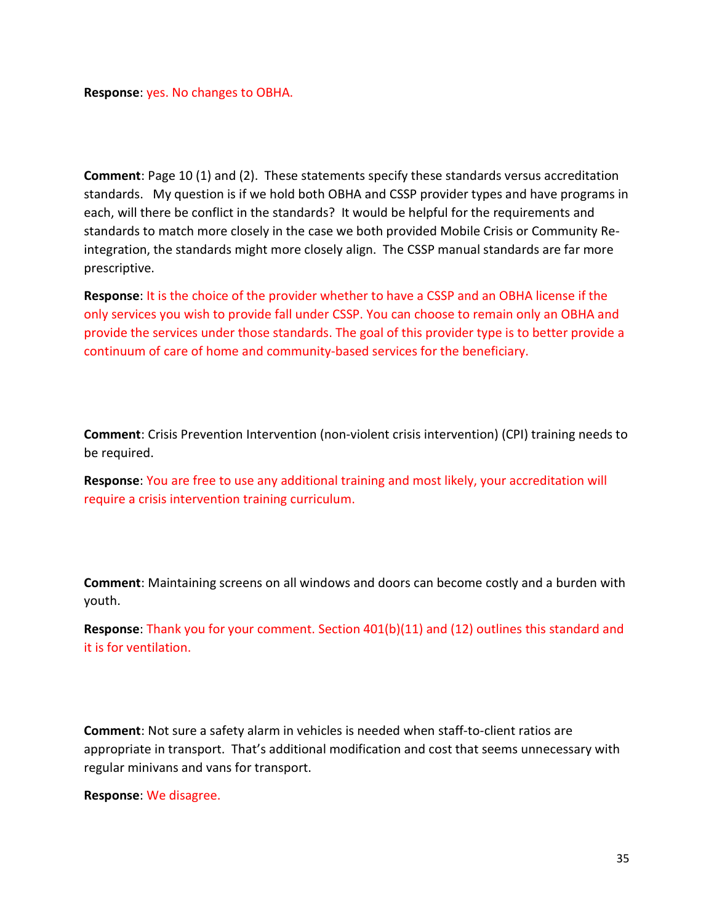Response: yes. No changes to OBHA.

Comment: Page 10 (1) and (2). These statements specify these standards versus accreditation standards. My question is if we hold both OBHA and CSSP provider types and have programs in each, will there be conflict in the standards? It would be helpful for the requirements and standards to match more closely in the case we both provided Mobile Crisis or Community Reintegration, the standards might more closely align. The CSSP manual standards are far more prescriptive.

Response: It is the choice of the provider whether to have a CSSP and an OBHA license if the only services you wish to provide fall under CSSP. You can choose to remain only an OBHA and provide the services under those standards. The goal of this provider type is to better provide a continuum of care of home and community-based services for the beneficiary.

Comment: Crisis Prevention Intervention (non-violent crisis intervention) (CPI) training needs to be required.

Response: You are free to use any additional training and most likely, your accreditation will require a crisis intervention training curriculum.

Comment: Maintaining screens on all windows and doors can become costly and a burden with youth.

Response: Thank you for your comment. Section 401(b)(11) and (12) outlines this standard and it is for ventilation.

Comment: Not sure a safety alarm in vehicles is needed when staff-to-client ratios are appropriate in transport. That's additional modification and cost that seems unnecessary with regular minivans and vans for transport.

Response: We disagree.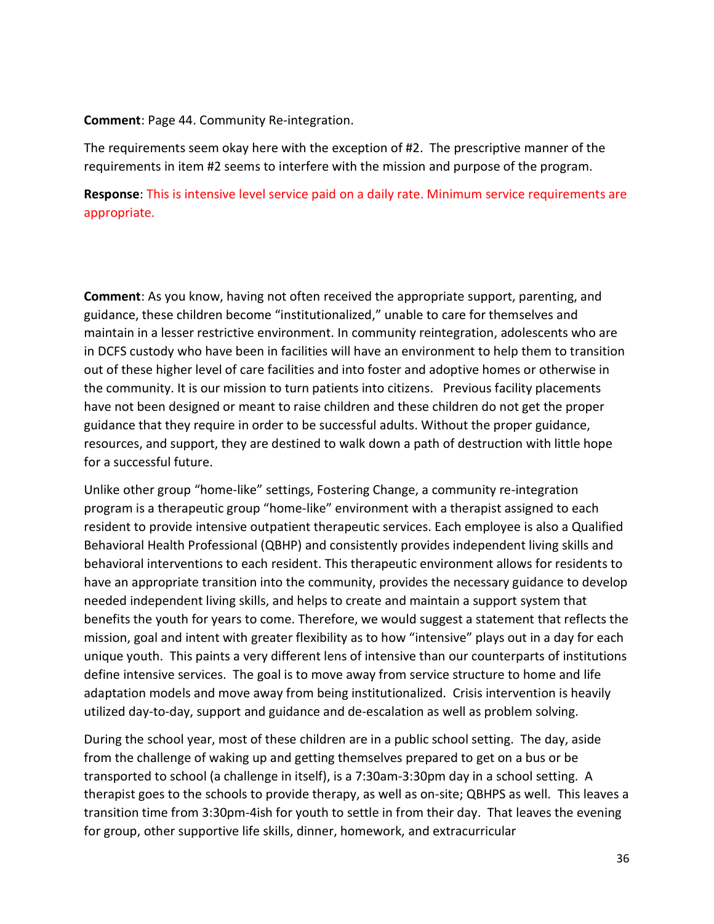#### Comment: Page 44. Community Re-integration.

The requirements seem okay here with the exception of #2. The prescriptive manner of the requirements in item #2 seems to interfere with the mission and purpose of the program.

Response: This is intensive level service paid on a daily rate. Minimum service requirements are appropriate.

Comment: As you know, having not often received the appropriate support, parenting, and guidance, these children become "institutionalized," unable to care for themselves and maintain in a lesser restrictive environment. In community reintegration, adolescents who are in DCFS custody who have been in facilities will have an environment to help them to transition out of these higher level of care facilities and into foster and adoptive homes or otherwise in the community. It is our mission to turn patients into citizens. Previous facility placements have not been designed or meant to raise children and these children do not get the proper guidance that they require in order to be successful adults. Without the proper guidance, resources, and support, they are destined to walk down a path of destruction with little hope for a successful future.

Unlike other group "home-like" settings, Fostering Change, a community re-integration program is a therapeutic group "home-like" environment with a therapist assigned to each resident to provide intensive outpatient therapeutic services. Each employee is also a Qualified Behavioral Health Professional (QBHP) and consistently provides independent living skills and behavioral interventions to each resident. This therapeutic environment allows for residents to have an appropriate transition into the community, provides the necessary guidance to develop needed independent living skills, and helps to create and maintain a support system that benefits the youth for years to come. Therefore, we would suggest a statement that reflects the mission, goal and intent with greater flexibility as to how "intensive" plays out in a day for each unique youth. This paints a very different lens of intensive than our counterparts of institutions define intensive services. The goal is to move away from service structure to home and life adaptation models and move away from being institutionalized. Crisis intervention is heavily utilized day-to-day, support and guidance and de-escalation as well as problem solving.

During the school year, most of these children are in a public school setting. The day, aside from the challenge of waking up and getting themselves prepared to get on a bus or be transported to school (a challenge in itself), is a 7:30am-3:30pm day in a school setting. A therapist goes to the schools to provide therapy, as well as on-site; QBHPS as well. This leaves a transition time from 3:30pm-4ish for youth to settle in from their day. That leaves the evening for group, other supportive life skills, dinner, homework, and extracurricular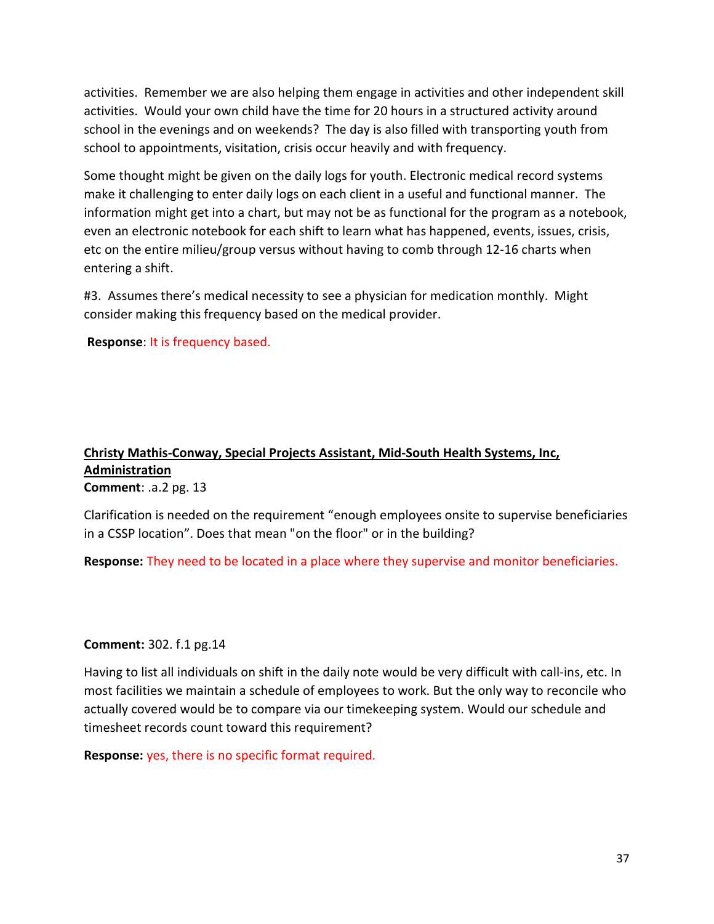activities. Remember we are also helping them engage in activities and other independent skill activities. Would your own child have the time for 20 hours in a structured activity around school in the evenings and on weekends? The day is also filled with transporting youth from school to appointments, visitation, crisis occur heavily and with frequency.

Some thought might be given on the daily logs for youth. Electronic medical record systems make it challenging to enter daily logs on each client in a useful and functional manner. The information might get into a chart, but may not be as functional for the program as a notebook, even an electronic notebook for each shift to learn what has happened, events, issues, crisis, etc on the entire milieu/group versus without having to comb through 12-16 charts when entering a shift.

#3. Assumes there's medical necessity to see a physician for medication monthly. Might consider making this frequency based on the medical provider.

Response: It is frequency based.

# Christy Mathis-Conway, Special Projects Assistant, Mid-South Health Systems, Inc, **Administration** Comment: .a.2 pg. 13

Clarification is needed on the requirement "enough employees onsite to supervise beneficiaries in a CSSP location". Does that mean "on the floor" or in the building?

Response: They need to be located in a place where they supervise and monitor beneficiaries.

# Comment: 302. f.1 pg.14

Having to list all individuals on shift in the daily note would be very difficult with call-ins, etc. In most facilities we maintain a schedule of employees to work. But the only way to reconcile who actually covered would be to compare via our timekeeping system. Would our schedule and timesheet records count toward this requirement?

Response: yes, there is no specific format required.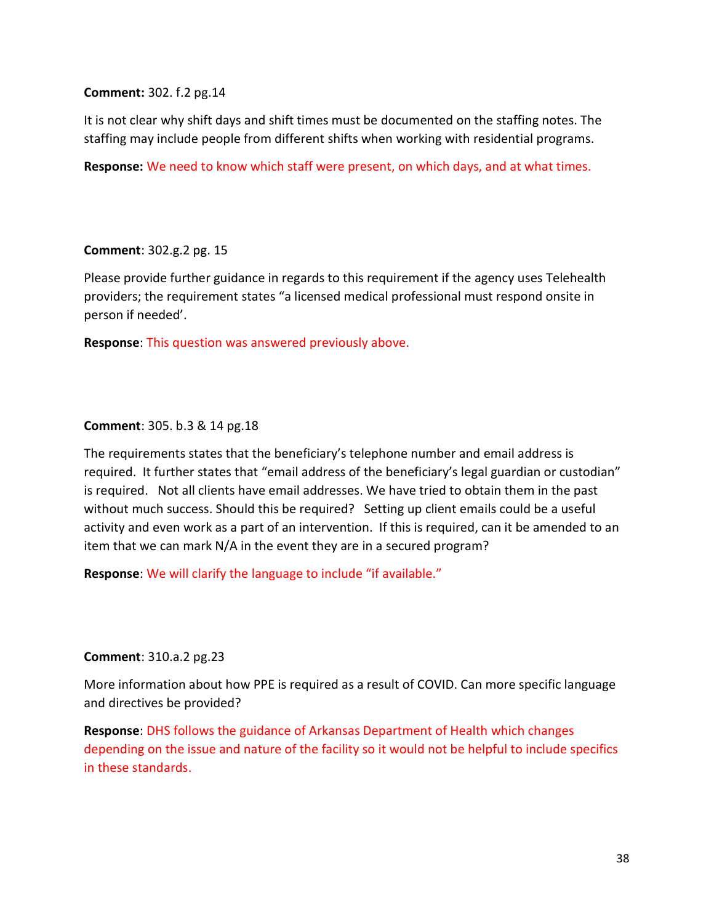Comment: 302. f.2 pg.14

It is not clear why shift days and shift times must be documented on the staffing notes. The staffing may include people from different shifts when working with residential programs.

Response: We need to know which staff were present, on which days, and at what times.

Comment: 302.g.2 pg. 15

Please provide further guidance in regards to this requirement if the agency uses Telehealth providers; the requirement states "a licensed medical professional must respond onsite in person if needed'.

Response: This question was answered previously above.

#### Comment: 305. b.3 & 14 pg.18

The requirements states that the beneficiary's telephone number and email address is required. It further states that "email address of the beneficiary's legal guardian or custodian" is required. Not all clients have email addresses. We have tried to obtain them in the past without much success. Should this be required? Setting up client emails could be a useful activity and even work as a part of an intervention. If this is required, can it be amended to an item that we can mark N/A in the event they are in a secured program?

Response: We will clarify the language to include "if available."

#### Comment: 310.a.2 pg.23

More information about how PPE is required as a result of COVID. Can more specific language and directives be provided?

Response: DHS follows the guidance of Arkansas Department of Health which changes depending on the issue and nature of the facility so it would not be helpful to include specifics in these standards.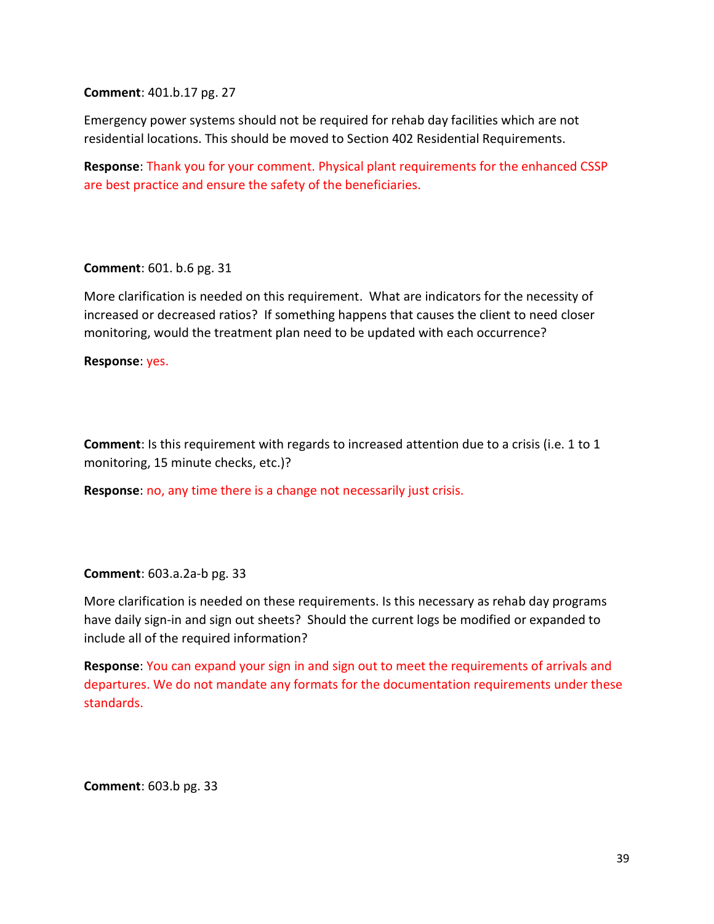Comment: 401.b.17 pg. 27

Emergency power systems should not be required for rehab day facilities which are not residential locations. This should be moved to Section 402 Residential Requirements.

Response: Thank you for your comment. Physical plant requirements for the enhanced CSSP are best practice and ensure the safety of the beneficiaries.

Comment: 601. b.6 pg. 31

More clarification is needed on this requirement. What are indicators for the necessity of increased or decreased ratios? If something happens that causes the client to need closer monitoring, would the treatment plan need to be updated with each occurrence?

Response: yes.

Comment: Is this requirement with regards to increased attention due to a crisis (i.e. 1 to 1 monitoring, 15 minute checks, etc.)?

Response: no, any time there is a change not necessarily just crisis.

Comment: 603.a.2a-b pg. 33

More clarification is needed on these requirements. Is this necessary as rehab day programs have daily sign-in and sign out sheets? Should the current logs be modified or expanded to include all of the required information?

Response: You can expand your sign in and sign out to meet the requirements of arrivals and departures. We do not mandate any formats for the documentation requirements under these standards.

Comment: 603.b pg. 33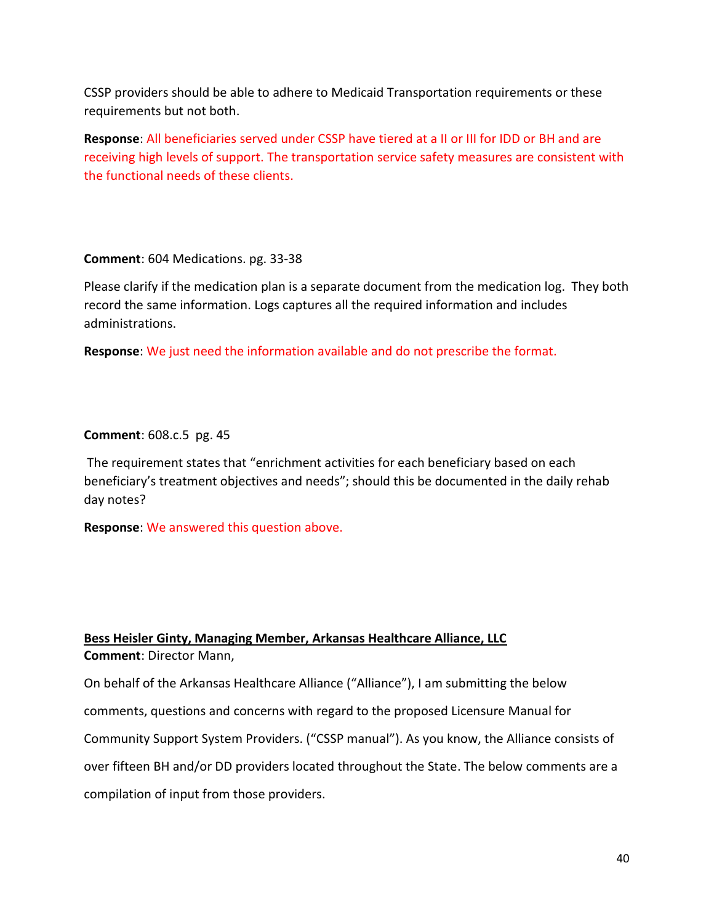CSSP providers should be able to adhere to Medicaid Transportation requirements or these requirements but not both.

Response: All beneficiaries served under CSSP have tiered at a II or III for IDD or BH and are receiving high levels of support. The transportation service safety measures are consistent with the functional needs of these clients.

Comment: 604 Medications. pg. 33-38

Please clarify if the medication plan is a separate document from the medication log. They both record the same information. Logs captures all the required information and includes administrations.

Response: We just need the information available and do not prescribe the format.

#### Comment: 608.c.5 pg. 45

 The requirement states that "enrichment activities for each beneficiary based on each beneficiary's treatment objectives and needs"; should this be documented in the daily rehab day notes?

Response: We answered this question above.

# Bess Heisler Ginty, Managing Member, Arkansas Healthcare Alliance, LLC Comment: Director Mann,

On behalf of the Arkansas Healthcare Alliance ("Alliance"), I am submitting the below comments, questions and concerns with regard to the proposed Licensure Manual for Community Support System Providers. ("CSSP manual"). As you know, the Alliance consists of over fifteen BH and/or DD providers located throughout the State. The below comments are a compilation of input from those providers.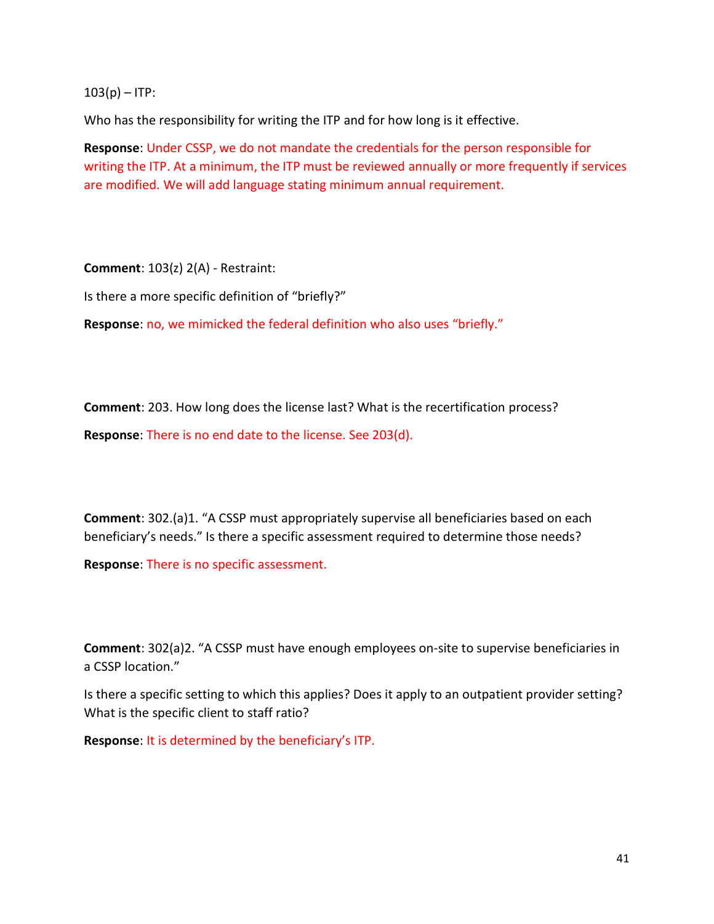$103(p) - ITP$ :

Who has the responsibility for writing the ITP and for how long is it effective.

Response: Under CSSP, we do not mandate the credentials for the person responsible for writing the ITP. At a minimum, the ITP must be reviewed annually or more frequently if services are modified. We will add language stating minimum annual requirement.

Comment: 103(z) 2(A) - Restraint:

Is there a more specific definition of "briefly?"

Response: no, we mimicked the federal definition who also uses "briefly."

Comment: 203. How long does the license last? What is the recertification process? Response: There is no end date to the license. See 203(d).

Comment: 302.(a)1. "A CSSP must appropriately supervise all beneficiaries based on each beneficiary's needs." Is there a specific assessment required to determine those needs?

Response: There is no specific assessment.

Comment: 302(a)2. "A CSSP must have enough employees on-site to supervise beneficiaries in a CSSP location."

Is there a specific setting to which this applies? Does it apply to an outpatient provider setting? What is the specific client to staff ratio?

Response: It is determined by the beneficiary's ITP.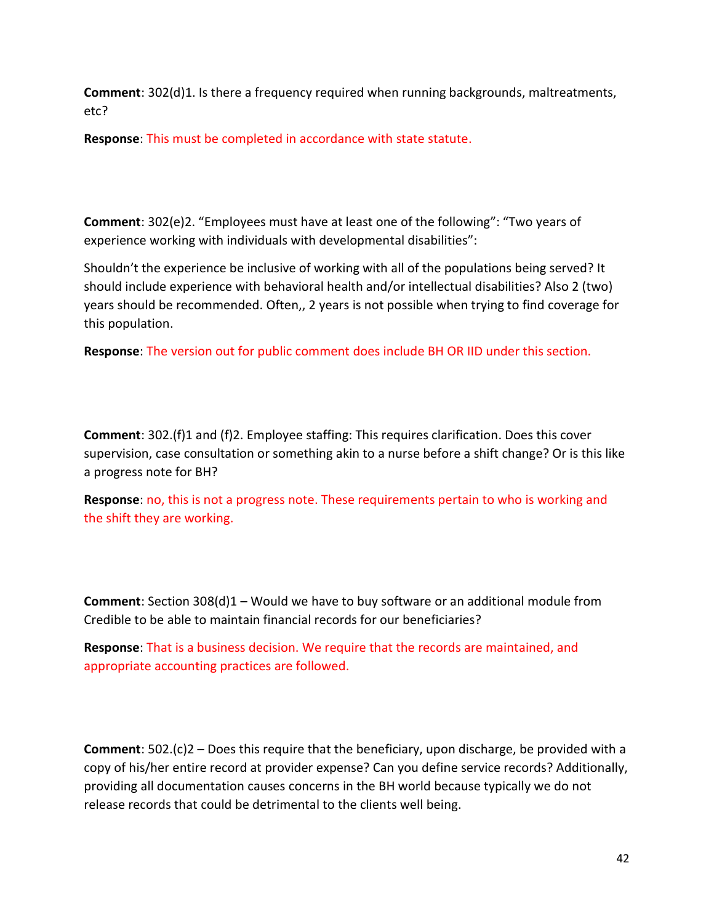Comment: 302(d)1. Is there a frequency required when running backgrounds, maltreatments, etc?

Response: This must be completed in accordance with state statute.

Comment: 302(e)2. "Employees must have at least one of the following": "Two years of experience working with individuals with developmental disabilities":

Shouldn't the experience be inclusive of working with all of the populations being served? It should include experience with behavioral health and/or intellectual disabilities? Also 2 (two) years should be recommended. Often,, 2 years is not possible when trying to find coverage for this population.

Response: The version out for public comment does include BH OR IID under this section.

Comment: 302.(f)1 and (f)2. Employee staffing: This requires clarification. Does this cover supervision, case consultation or something akin to a nurse before a shift change? Or is this like a progress note for BH?

Response: no, this is not a progress note. These requirements pertain to who is working and the shift they are working.

Comment: Section 308(d)1 – Would we have to buy software or an additional module from Credible to be able to maintain financial records for our beneficiaries?

Response: That is a business decision. We require that the records are maintained, and appropriate accounting practices are followed.

**Comment:**  $502.(c)2 - Does this require that the benefitiary, upon discharge, be provided with a$ copy of his/her entire record at provider expense? Can you define service records? Additionally, providing all documentation causes concerns in the BH world because typically we do not release records that could be detrimental to the clients well being.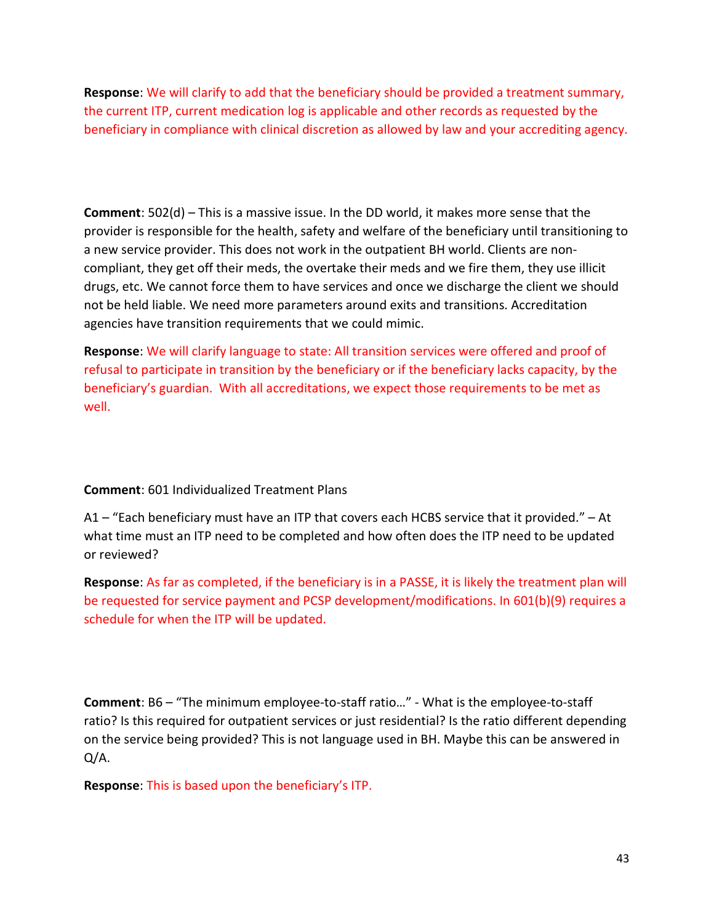Response: We will clarify to add that the beneficiary should be provided a treatment summary, the current ITP, current medication log is applicable and other records as requested by the beneficiary in compliance with clinical discretion as allowed by law and your accrediting agency.

Comment: 502(d) – This is a massive issue. In the DD world, it makes more sense that the provider is responsible for the health, safety and welfare of the beneficiary until transitioning to a new service provider. This does not work in the outpatient BH world. Clients are noncompliant, they get off their meds, the overtake their meds and we fire them, they use illicit drugs, etc. We cannot force them to have services and once we discharge the client we should not be held liable. We need more parameters around exits and transitions. Accreditation agencies have transition requirements that we could mimic.

Response: We will clarify language to state: All transition services were offered and proof of refusal to participate in transition by the beneficiary or if the beneficiary lacks capacity, by the beneficiary's guardian. With all accreditations, we expect those requirements to be met as well.

Comment: 601 Individualized Treatment Plans

A1 – "Each beneficiary must have an ITP that covers each HCBS service that it provided." – At what time must an ITP need to be completed and how often does the ITP need to be updated or reviewed?

Response: As far as completed, if the beneficiary is in a PASSE, it is likely the treatment plan will be requested for service payment and PCSP development/modifications. In 601(b)(9) requires a schedule for when the ITP will be updated.

Comment: B6 – "The minimum employee-to-staff ratio…" - What is the employee-to-staff ratio? Is this required for outpatient services or just residential? Is the ratio different depending on the service being provided? This is not language used in BH. Maybe this can be answered in Q/A.

Response: This is based upon the beneficiary's ITP.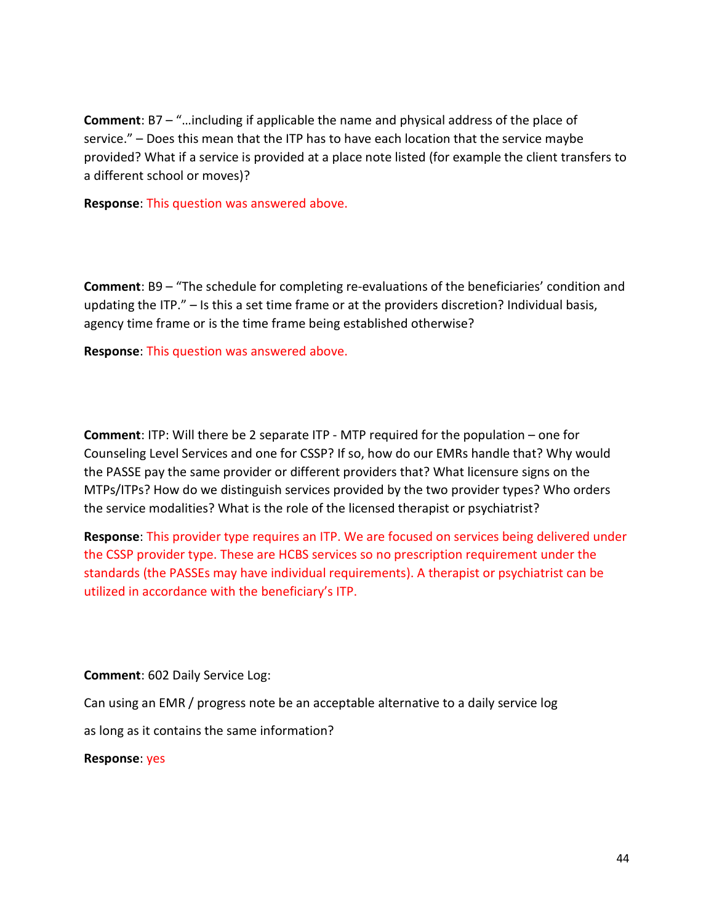Comment: B7 – "…including if applicable the name and physical address of the place of service." – Does this mean that the ITP has to have each location that the service maybe provided? What if a service is provided at a place note listed (for example the client transfers to a different school or moves)?

Response: This question was answered above.

Comment: B9 – "The schedule for completing re-evaluations of the beneficiaries' condition and updating the ITP." – Is this a set time frame or at the providers discretion? Individual basis, agency time frame or is the time frame being established otherwise?

Response: This question was answered above.

Comment: ITP: Will there be 2 separate ITP - MTP required for the population – one for Counseling Level Services and one for CSSP? If so, how do our EMRs handle that? Why would the PASSE pay the same provider or different providers that? What licensure signs on the MTPs/ITPs? How do we distinguish services provided by the two provider types? Who orders the service modalities? What is the role of the licensed therapist or psychiatrist?

Response: This provider type requires an ITP. We are focused on services being delivered under the CSSP provider type. These are HCBS services so no prescription requirement under the standards (the PASSEs may have individual requirements). A therapist or psychiatrist can be utilized in accordance with the beneficiary's ITP.

Comment: 602 Daily Service Log:

Can using an EMR / progress note be an acceptable alternative to a daily service log

as long as it contains the same information?

Response: yes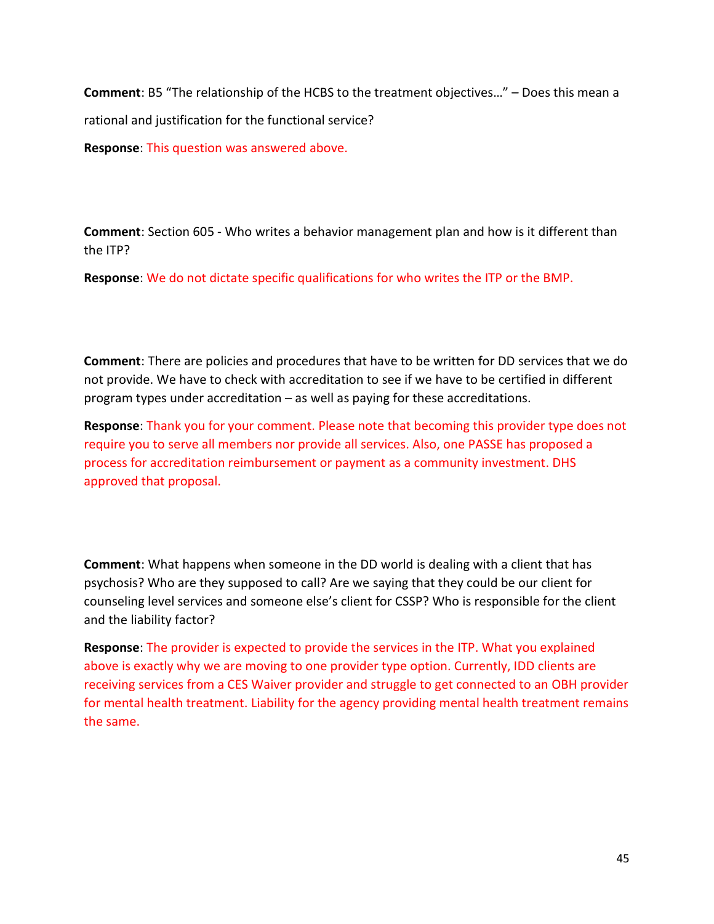Comment: B5 "The relationship of the HCBS to the treatment objectives…" – Does this mean a rational and justification for the functional service?

Response: This question was answered above.

Comment: Section 605 - Who writes a behavior management plan and how is it different than the ITP?

Response: We do not dictate specific qualifications for who writes the ITP or the BMP.

Comment: There are policies and procedures that have to be written for DD services that we do not provide. We have to check with accreditation to see if we have to be certified in different program types under accreditation – as well as paying for these accreditations.

Response: Thank you for your comment. Please note that becoming this provider type does not require you to serve all members nor provide all services. Also, one PASSE has proposed a process for accreditation reimbursement or payment as a community investment. DHS approved that proposal.

Comment: What happens when someone in the DD world is dealing with a client that has psychosis? Who are they supposed to call? Are we saying that they could be our client for counseling level services and someone else's client for CSSP? Who is responsible for the client and the liability factor?

Response: The provider is expected to provide the services in the ITP. What you explained above is exactly why we are moving to one provider type option. Currently, IDD clients are receiving services from a CES Waiver provider and struggle to get connected to an OBH provider for mental health treatment. Liability for the agency providing mental health treatment remains the same.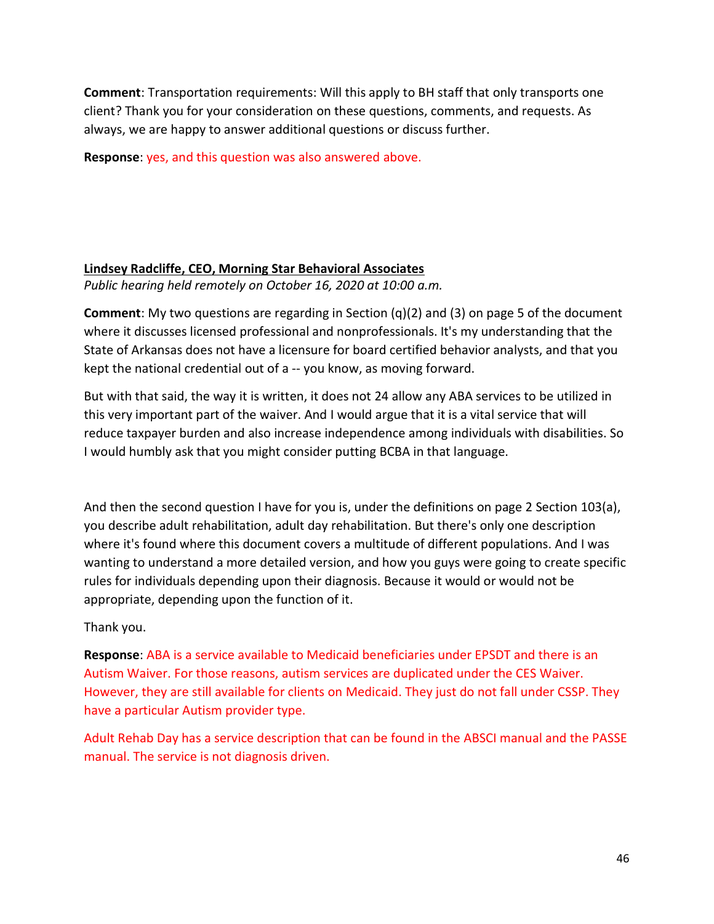Comment: Transportation requirements: Will this apply to BH staff that only transports one client? Thank you for your consideration on these questions, comments, and requests. As always, we are happy to answer additional questions or discuss further.

Response: yes, and this question was also answered above.

# Lindsey Radcliffe, CEO, Morning Star Behavioral Associates

Public hearing held remotely on October 16, 2020 at 10:00 a.m.

Comment: My two questions are regarding in Section (q)(2) and (3) on page 5 of the document where it discusses licensed professional and nonprofessionals. It's my understanding that the State of Arkansas does not have a licensure for board certified behavior analysts, and that you kept the national credential out of a -- you know, as moving forward.

But with that said, the way it is written, it does not 24 allow any ABA services to be utilized in this very important part of the waiver. And I would argue that it is a vital service that will reduce taxpayer burden and also increase independence among individuals with disabilities. So I would humbly ask that you might consider putting BCBA in that language.

And then the second question I have for you is, under the definitions on page 2 Section 103(a), you describe adult rehabilitation, adult day rehabilitation. But there's only one description where it's found where this document covers a multitude of different populations. And I was wanting to understand a more detailed version, and how you guys were going to create specific rules for individuals depending upon their diagnosis. Because it would or would not be appropriate, depending upon the function of it.

Thank you.

Response: ABA is a service available to Medicaid beneficiaries under EPSDT and there is an Autism Waiver. For those reasons, autism services are duplicated under the CES Waiver. However, they are still available for clients on Medicaid. They just do not fall under CSSP. They have a particular Autism provider type.

Adult Rehab Day has a service description that can be found in the ABSCI manual and the PASSE manual. The service is not diagnosis driven.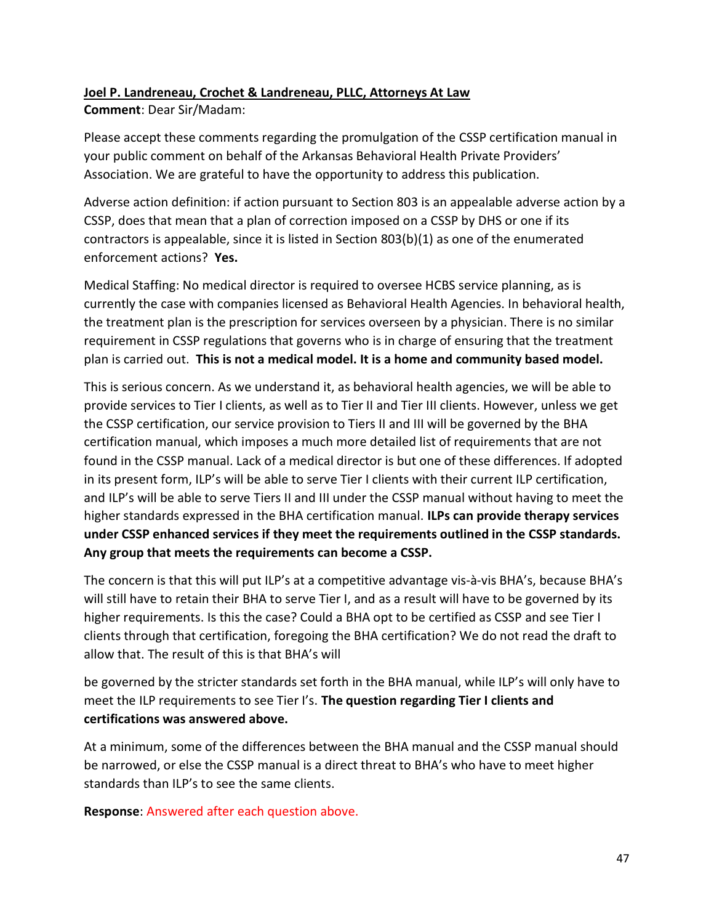# Joel P. Landreneau, Crochet & Landreneau, PLLC, Attorneys At Law

Comment: Dear Sir/Madam:

Please accept these comments regarding the promulgation of the CSSP certification manual in your public comment on behalf of the Arkansas Behavioral Health Private Providers' Association. We are grateful to have the opportunity to address this publication.

Adverse action definition: if action pursuant to Section 803 is an appealable adverse action by a CSSP, does that mean that a plan of correction imposed on a CSSP by DHS or one if its contractors is appealable, since it is listed in Section 803(b)(1) as one of the enumerated enforcement actions? Yes.

Medical Staffing: No medical director is required to oversee HCBS service planning, as is currently the case with companies licensed as Behavioral Health Agencies. In behavioral health, the treatment plan is the prescription for services overseen by a physician. There is no similar requirement in CSSP regulations that governs who is in charge of ensuring that the treatment plan is carried out. This is not a medical model. It is a home and community based model.

This is serious concern. As we understand it, as behavioral health agencies, we will be able to provide services to Tier I clients, as well as to Tier II and Tier III clients. However, unless we get the CSSP certification, our service provision to Tiers II and III will be governed by the BHA certification manual, which imposes a much more detailed list of requirements that are not found in the CSSP manual. Lack of a medical director is but one of these differences. If adopted in its present form, ILP's will be able to serve Tier I clients with their current ILP certification, and ILP's will be able to serve Tiers II and III under the CSSP manual without having to meet the higher standards expressed in the BHA certification manual. ILPs can provide therapy services under CSSP enhanced services if they meet the requirements outlined in the CSSP standards. Any group that meets the requirements can become a CSSP.

The concern is that this will put ILP's at a competitive advantage vis-à-vis BHA's, because BHA's will still have to retain their BHA to serve Tier I, and as a result will have to be governed by its higher requirements. Is this the case? Could a BHA opt to be certified as CSSP and see Tier I clients through that certification, foregoing the BHA certification? We do not read the draft to allow that. The result of this is that BHA's will

be governed by the stricter standards set forth in the BHA manual, while ILP's will only have to meet the ILP requirements to see Tier I's. The question regarding Tier I clients and certifications was answered above.

At a minimum, some of the differences between the BHA manual and the CSSP manual should be narrowed, or else the CSSP manual is a direct threat to BHA's who have to meet higher standards than ILP's to see the same clients.

Response: Answered after each question above.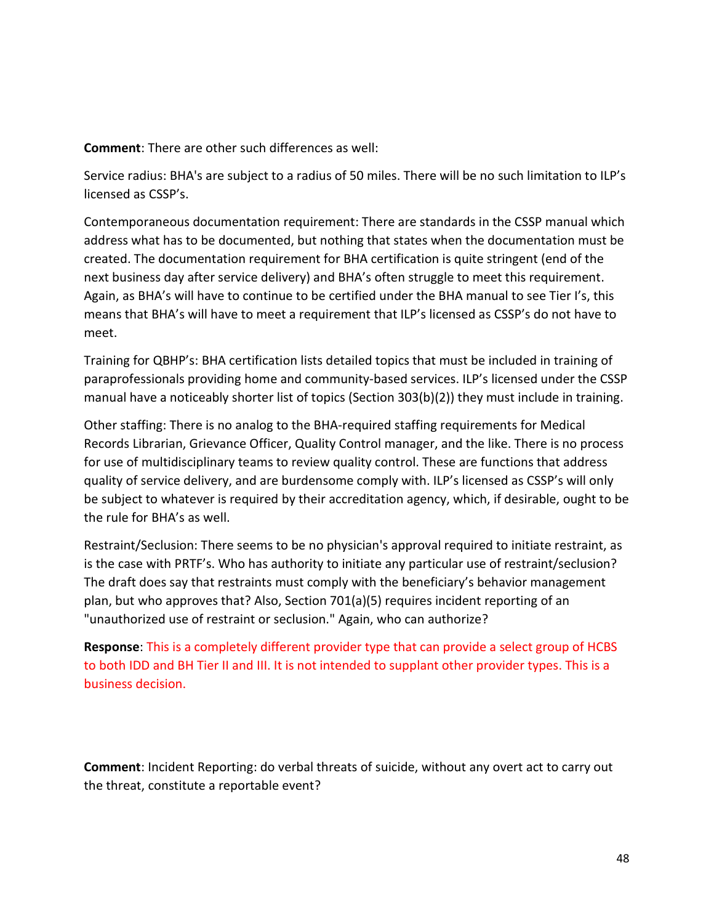Comment: There are other such differences as well:

Service radius: BHA's are subject to a radius of 50 miles. There will be no such limitation to ILP's licensed as CSSP's.

Contemporaneous documentation requirement: There are standards in the CSSP manual which address what has to be documented, but nothing that states when the documentation must be created. The documentation requirement for BHA certification is quite stringent (end of the next business day after service delivery) and BHA's often struggle to meet this requirement. Again, as BHA's will have to continue to be certified under the BHA manual to see Tier I's, this means that BHA's will have to meet a requirement that ILP's licensed as CSSP's do not have to meet.

Training for QBHP's: BHA certification lists detailed topics that must be included in training of paraprofessionals providing home and community-based services. ILP's licensed under the CSSP manual have a noticeably shorter list of topics (Section 303(b)(2)) they must include in training.

Other staffing: There is no analog to the BHA-required staffing requirements for Medical Records Librarian, Grievance Officer, Quality Control manager, and the like. There is no process for use of multidisciplinary teams to review quality control. These are functions that address quality of service delivery, and are burdensome comply with. ILP's licensed as CSSP's will only be subject to whatever is required by their accreditation agency, which, if desirable, ought to be the rule for BHA's as well.

Restraint/Seclusion: There seems to be no physician's approval required to initiate restraint, as is the case with PRTF's. Who has authority to initiate any particular use of restraint/seclusion? The draft does say that restraints must comply with the beneficiary's behavior management plan, but who approves that? Also, Section 701(a)(5) requires incident reporting of an "unauthorized use of restraint or seclusion." Again, who can authorize?

Response: This is a completely different provider type that can provide a select group of HCBS to both IDD and BH Tier II and III. It is not intended to supplant other provider types. This is a business decision.

Comment: Incident Reporting: do verbal threats of suicide, without any overt act to carry out the threat, constitute a reportable event?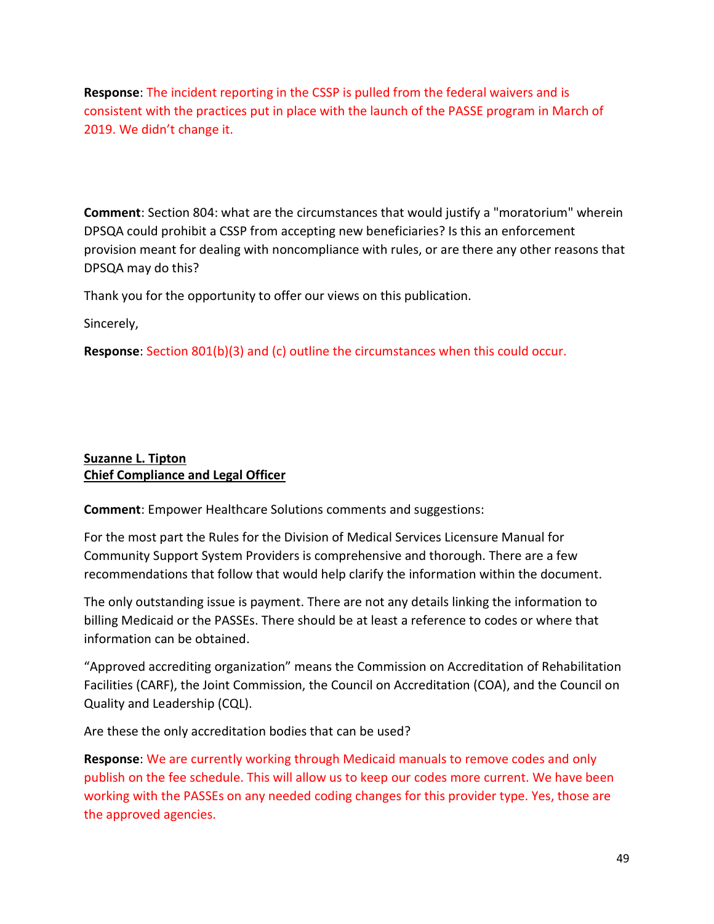Response: The incident reporting in the CSSP is pulled from the federal waivers and is consistent with the practices put in place with the launch of the PASSE program in March of 2019. We didn't change it.

Comment: Section 804: what are the circumstances that would justify a "moratorium" wherein DPSQA could prohibit a CSSP from accepting new beneficiaries? Is this an enforcement provision meant for dealing with noncompliance with rules, or are there any other reasons that DPSQA may do this?

Thank you for the opportunity to offer our views on this publication.

Sincerely,

Response: Section 801(b)(3) and (c) outline the circumstances when this could occur.

# Suzanne L. Tipton Chief Compliance and Legal Officer

Comment: Empower Healthcare Solutions comments and suggestions:

For the most part the Rules for the Division of Medical Services Licensure Manual for Community Support System Providers is comprehensive and thorough. There are a few recommendations that follow that would help clarify the information within the document.

The only outstanding issue is payment. There are not any details linking the information to billing Medicaid or the PASSEs. There should be at least a reference to codes or where that information can be obtained.

"Approved accrediting organization" means the Commission on Accreditation of Rehabilitation Facilities (CARF), the Joint Commission, the Council on Accreditation (COA), and the Council on Quality and Leadership (CQL).

Are these the only accreditation bodies that can be used?

Response: We are currently working through Medicaid manuals to remove codes and only publish on the fee schedule. This will allow us to keep our codes more current. We have been working with the PASSEs on any needed coding changes for this provider type. Yes, those are the approved agencies.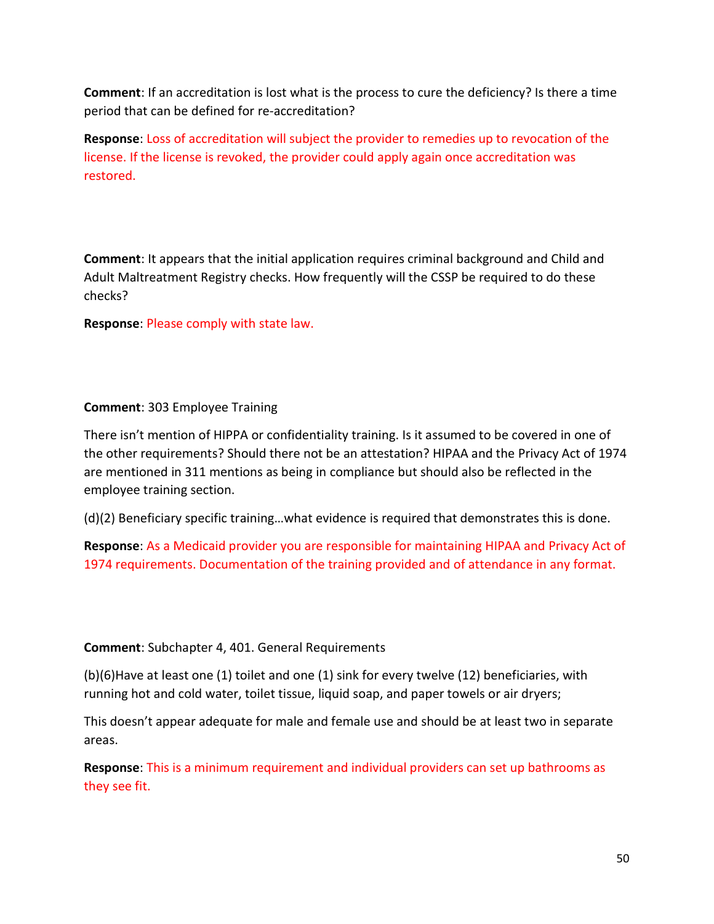Comment: If an accreditation is lost what is the process to cure the deficiency? Is there a time period that can be defined for re-accreditation?

Response: Loss of accreditation will subject the provider to remedies up to revocation of the license. If the license is revoked, the provider could apply again once accreditation was restored.

Comment: It appears that the initial application requires criminal background and Child and Adult Maltreatment Registry checks. How frequently will the CSSP be required to do these checks?

Response: Please comply with state law.

# Comment: 303 Employee Training

There isn't mention of HIPPA or confidentiality training. Is it assumed to be covered in one of the other requirements? Should there not be an attestation? HIPAA and the Privacy Act of 1974 are mentioned in 311 mentions as being in compliance but should also be reflected in the employee training section.

(d)(2) Beneficiary specific training…what evidence is required that demonstrates this is done.

Response: As a Medicaid provider you are responsible for maintaining HIPAA and Privacy Act of 1974 requirements. Documentation of the training provided and of attendance in any format.

#### Comment: Subchapter 4, 401. General Requirements

(b)(6)Have at least one (1) toilet and one (1) sink for every twelve (12) beneficiaries, with running hot and cold water, toilet tissue, liquid soap, and paper towels or air dryers;

This doesn't appear adequate for male and female use and should be at least two in separate areas.

Response: This is a minimum requirement and individual providers can set up bathrooms as they see fit.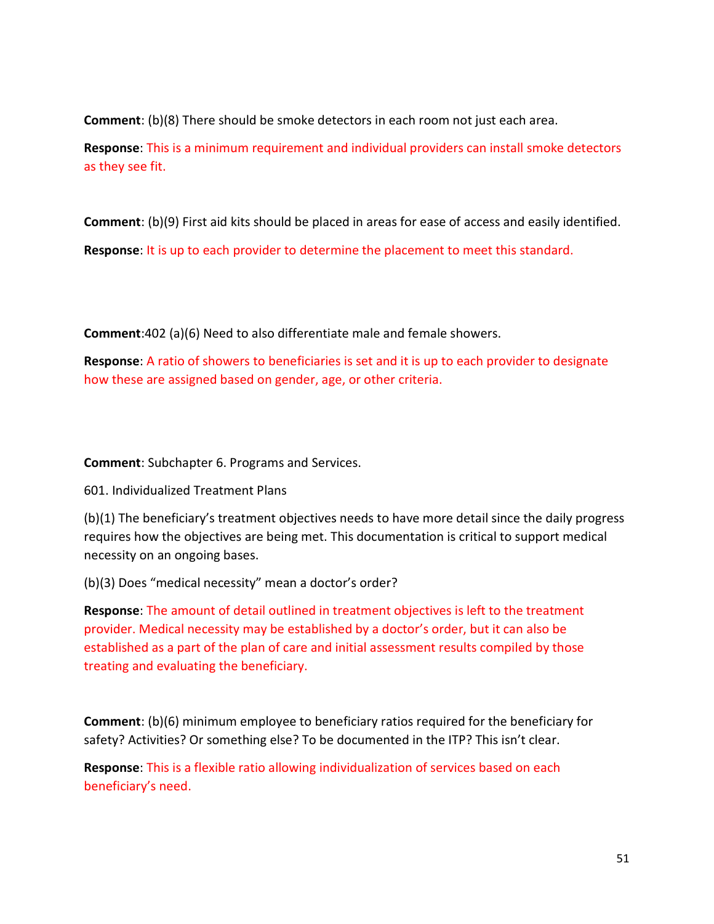Comment: (b)(8) There should be smoke detectors in each room not just each area.

Response: This is a minimum requirement and individual providers can install smoke detectors as they see fit.

Comment: (b)(9) First aid kits should be placed in areas for ease of access and easily identified.

Response: It is up to each provider to determine the placement to meet this standard.

Comment:402 (a)(6) Need to also differentiate male and female showers.

Response: A ratio of showers to beneficiaries is set and it is up to each provider to designate how these are assigned based on gender, age, or other criteria.

Comment: Subchapter 6. Programs and Services.

601. Individualized Treatment Plans

(b)(1) The beneficiary's treatment objectives needs to have more detail since the daily progress requires how the objectives are being met. This documentation is critical to support medical necessity on an ongoing bases.

(b)(3) Does "medical necessity" mean a doctor's order?

Response: The amount of detail outlined in treatment objectives is left to the treatment provider. Medical necessity may be established by a doctor's order, but it can also be established as a part of the plan of care and initial assessment results compiled by those treating and evaluating the beneficiary.

Comment: (b)(6) minimum employee to beneficiary ratios required for the beneficiary for safety? Activities? Or something else? To be documented in the ITP? This isn't clear.

Response: This is a flexible ratio allowing individualization of services based on each beneficiary's need.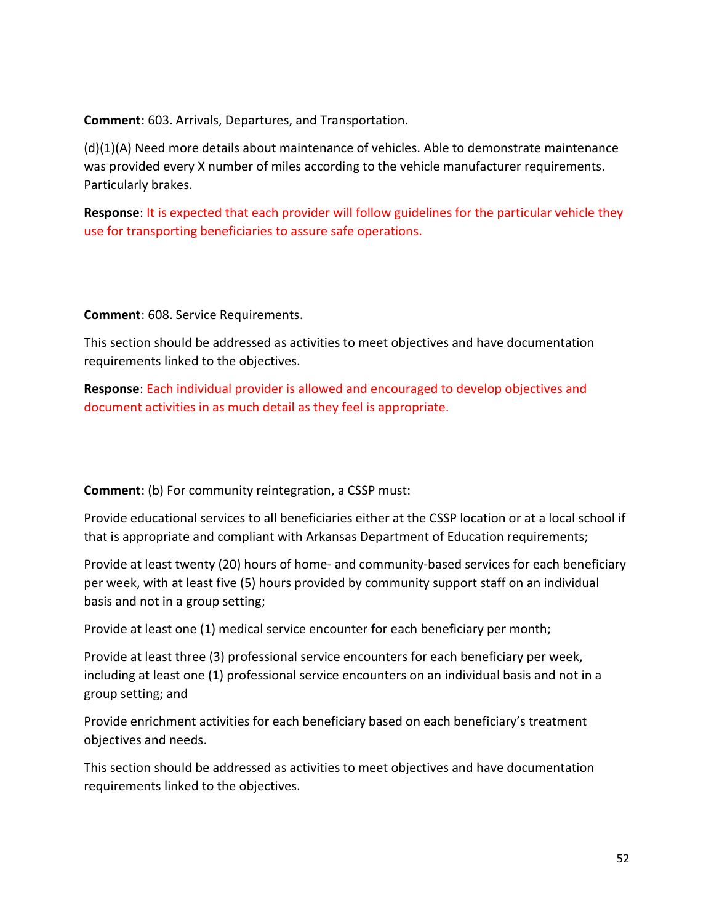Comment: 603. Arrivals, Departures, and Transportation.

(d)(1)(A) Need more details about maintenance of vehicles. Able to demonstrate maintenance was provided every X number of miles according to the vehicle manufacturer requirements. Particularly brakes.

Response: It is expected that each provider will follow guidelines for the particular vehicle they use for transporting beneficiaries to assure safe operations.

Comment: 608. Service Requirements.

This section should be addressed as activities to meet objectives and have documentation requirements linked to the objectives.

Response: Each individual provider is allowed and encouraged to develop objectives and document activities in as much detail as they feel is appropriate.

Comment: (b) For community reintegration, a CSSP must:

Provide educational services to all beneficiaries either at the CSSP location or at a local school if that is appropriate and compliant with Arkansas Department of Education requirements;

Provide at least twenty (20) hours of home- and community-based services for each beneficiary per week, with at least five (5) hours provided by community support staff on an individual basis and not in a group setting;

Provide at least one (1) medical service encounter for each beneficiary per month;

Provide at least three (3) professional service encounters for each beneficiary per week, including at least one (1) professional service encounters on an individual basis and not in a group setting; and

Provide enrichment activities for each beneficiary based on each beneficiary's treatment objectives and needs.

This section should be addressed as activities to meet objectives and have documentation requirements linked to the objectives.